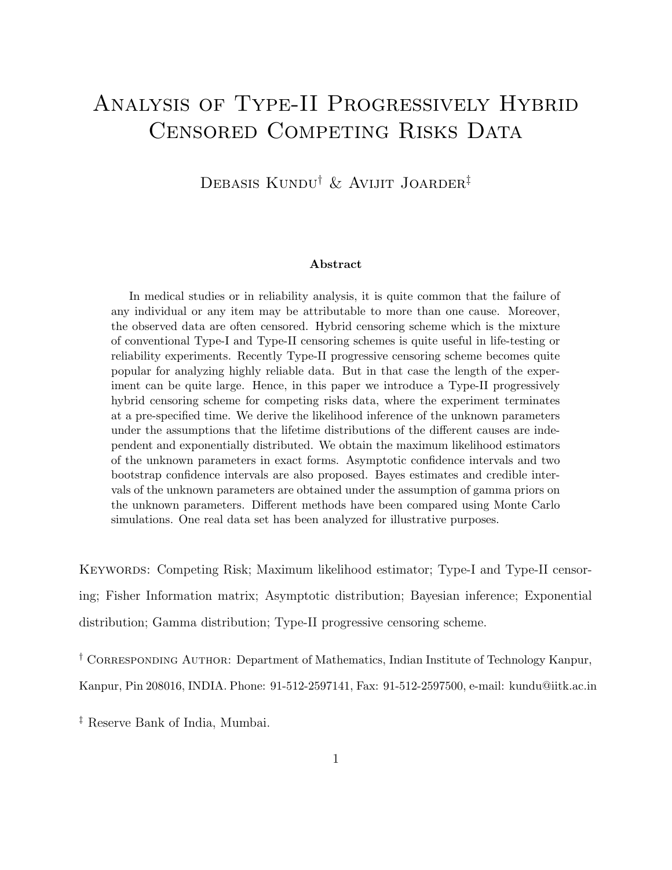# Analysis of Type-II Progressively Hybrid CENSORED COMPETING RISKS DATA

Debasis Kundu† & Avijit Joarder‡

#### Abstract

In medical studies or in reliability analysis, it is quite common that the failure of any individual or any item may be attributable to more than one cause. Moreover, the observed data are often censored. Hybrid censoring scheme which is the mixture of conventional Type-I and Type-II censoring schemes is quite useful in life-testing or reliability experiments. Recently Type-II progressive censoring scheme becomes quite popular for analyzing highly reliable data. But in that case the length of the experiment can be quite large. Hence, in this paper we introduce a Type-II progressively hybrid censoring scheme for competing risks data, where the experiment terminates at a pre-specified time. We derive the likelihood inference of the unknown parameters under the assumptions that the lifetime distributions of the different causes are independent and exponentially distributed. We obtain the maximum likelihood estimators of the unknown parameters in exact forms. Asymptotic confidence intervals and two bootstrap confidence intervals are also proposed. Bayes estimates and credible intervals of the unknown parameters are obtained under the assumption of gamma priors on the unknown parameters. Different methods have been compared using Monte Carlo simulations. One real data set has been analyzed for illustrative purposes.

KEYWORDS: Competing Risk; Maximum likelihood estimator; Type-I and Type-II censoring; Fisher Information matrix; Asymptotic distribution; Bayesian inference; Exponential distribution; Gamma distribution; Type-II progressive censoring scheme.

† Corresponding Author: Department of Mathematics, Indian Institute of Technology Kanpur, Kanpur, Pin 208016, INDIA. Phone: 91-512-2597141, Fax: 91-512-2597500, e-mail: kundu@iitk.ac.in

‡ Reserve Bank of India, Mumbai.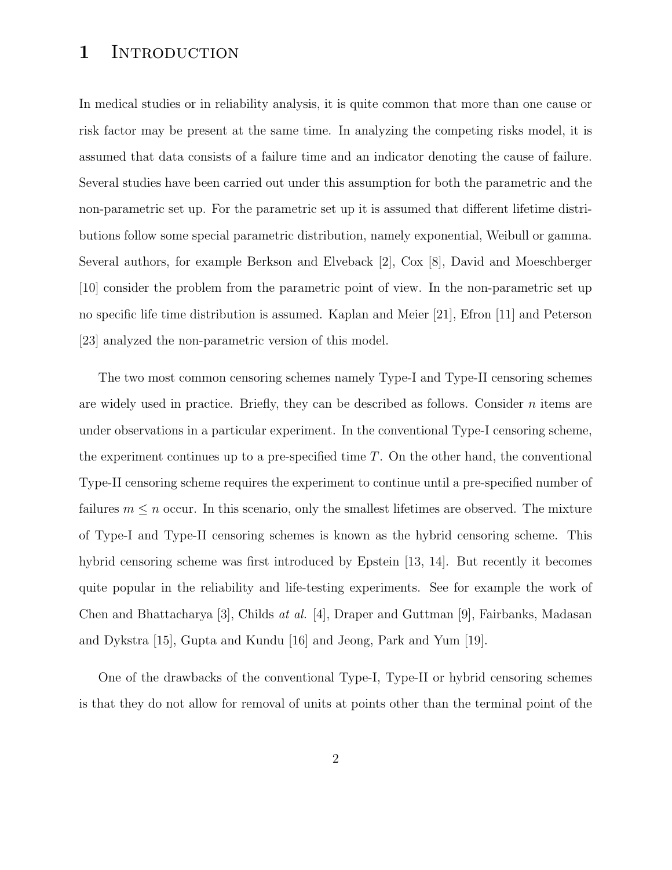### 1 INTRODUCTION

In medical studies or in reliability analysis, it is quite common that more than one cause or risk factor may be present at the same time. In analyzing the competing risks model, it is assumed that data consists of a failure time and an indicator denoting the cause of failure. Several studies have been carried out under this assumption for both the parametric and the non-parametric set up. For the parametric set up it is assumed that different lifetime distributions follow some special parametric distribution, namely exponential, Weibull or gamma. Several authors, for example Berkson and Elveback [2], Cox [8], David and Moeschberger [10] consider the problem from the parametric point of view. In the non-parametric set up no specific life time distribution is assumed. Kaplan and Meier [21], Efron [11] and Peterson [23] analyzed the non-parametric version of this model.

The two most common censoring schemes namely Type-I and Type-II censoring schemes are widely used in practice. Briefly, they can be described as follows. Consider  $n$  items are under observations in a particular experiment. In the conventional Type-I censoring scheme, the experiment continues up to a pre-specified time  $T$ . On the other hand, the conventional Type-II censoring scheme requires the experiment to continue until a pre-specified number of failures  $m \leq n$  occur. In this scenario, only the smallest lifetimes are observed. The mixture of Type-I and Type-II censoring schemes is known as the hybrid censoring scheme. This hybrid censoring scheme was first introduced by Epstein [13, 14]. But recently it becomes quite popular in the reliability and life-testing experiments. See for example the work of Chen and Bhattacharya [3], Childs at al. [4], Draper and Guttman [9], Fairbanks, Madasan and Dykstra [15], Gupta and Kundu [16] and Jeong, Park and Yum [19].

One of the drawbacks of the conventional Type-I, Type-II or hybrid censoring schemes is that they do not allow for removal of units at points other than the terminal point of the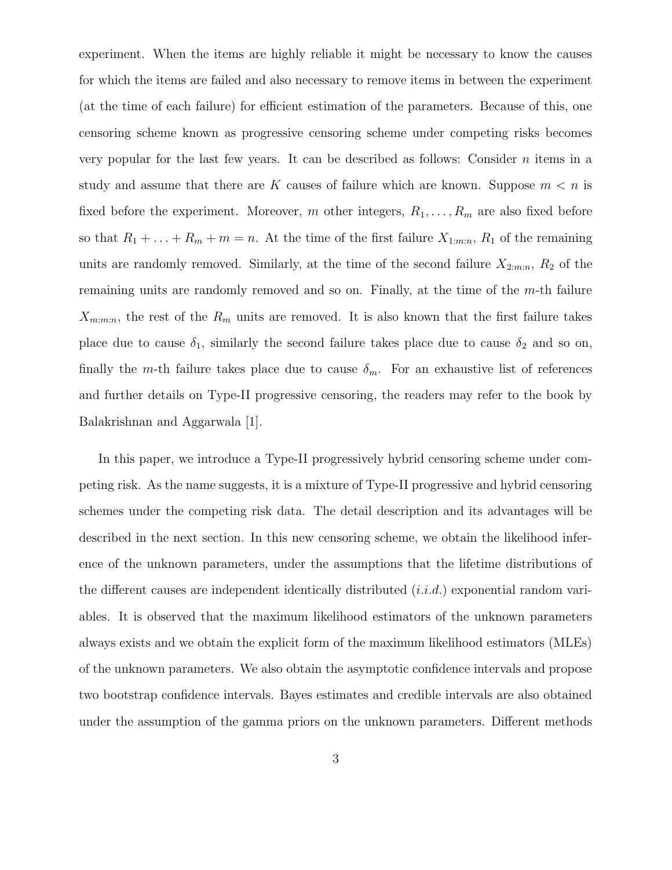experiment. When the items are highly reliable it might be necessary to know the causes for which the items are failed and also necessary to remove items in between the experiment (at the time of each failure) for efficient estimation of the parameters. Because of this, one censoring scheme known as progressive censoring scheme under competing risks becomes very popular for the last few years. It can be described as follows: Consider  $n$  items in a study and assume that there are K causes of failure which are known. Suppose  $m < n$  is fixed before the experiment. Moreover, m other integers,  $R_1, \ldots, R_m$  are also fixed before so that  $R_1 + \ldots + R_m + m = n$ . At the time of the first failure  $X_{1:m:n}$ ,  $R_1$  of the remaining units are randomly removed. Similarly, at the time of the second failure  $X_{2:m:n}$ ,  $R_2$  of the remaining units are randomly removed and so on. Finally, at the time of the  $m$ -th failure  $X_{m:m:n}$ , the rest of the  $R_m$  units are removed. It is also known that the first failure takes place due to cause  $\delta_1$ , similarly the second failure takes place due to cause  $\delta_2$  and so on, finally the m-th failure takes place due to cause  $\delta_m$ . For an exhaustive list of references and further details on Type-II progressive censoring, the readers may refer to the book by Balakrishnan and Aggarwala [1].

In this paper, we introduce a Type-II progressively hybrid censoring scheme under competing risk. As the name suggests, it is a mixture of Type-II progressive and hybrid censoring schemes under the competing risk data. The detail description and its advantages will be described in the next section. In this new censoring scheme, we obtain the likelihood inference of the unknown parameters, under the assumptions that the lifetime distributions of the different causes are independent identically distributed  $(i.i.d.)$  exponential random variables. It is observed that the maximum likelihood estimators of the unknown parameters always exists and we obtain the explicit form of the maximum likelihood estimators (MLEs) of the unknown parameters. We also obtain the asymptotic confidence intervals and propose two bootstrap confidence intervals. Bayes estimates and credible intervals are also obtained under the assumption of the gamma priors on the unknown parameters. Different methods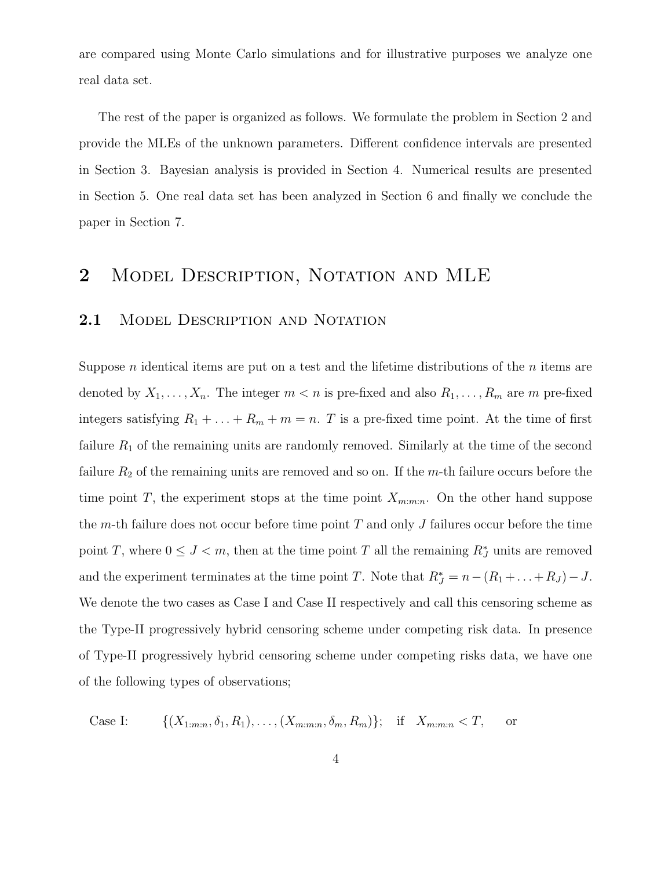are compared using Monte Carlo simulations and for illustrative purposes we analyze one real data set.

The rest of the paper is organized as follows. We formulate the problem in Section 2 and provide the MLEs of the unknown parameters. Different confidence intervals are presented in Section 3. Bayesian analysis is provided in Section 4. Numerical results are presented in Section 5. One real data set has been analyzed in Section 6 and finally we conclude the paper in Section 7.

# 2 MODEL DESCRIPTION, NOTATION AND MLE

### 2.1 MODEL DESCRIPTION AND NOTATION

Suppose *n* identical items are put on a test and the lifetime distributions of the *n* items are denoted by  $X_1, \ldots, X_n$ . The integer  $m < n$  is pre-fixed and also  $R_1, \ldots, R_m$  are m pre-fixed integers satisfying  $R_1 + \ldots + R_m + m = n$ . T is a pre-fixed time point. At the time of first failure  $R_1$  of the remaining units are randomly removed. Similarly at the time of the second failure  $R_2$  of the remaining units are removed and so on. If the m-th failure occurs before the time point T, the experiment stops at the time point  $X_{m:m:n}$ . On the other hand suppose the m-th failure does not occur before time point  $T$  and only  $J$  failures occur before the time point T, where  $0 \leq J < m$ , then at the time point T all the remaining  $R_J^*$  units are removed and the experiment terminates at the time point T. Note that  $R_J^* = n - (R_1 + ... + R_J) - J$ . We denote the two cases as Case I and Case II respectively and call this censoring scheme as the Type-II progressively hybrid censoring scheme under competing risk data. In presence of Type-II progressively hybrid censoring scheme under competing risks data, we have one of the following types of observations;

Case I:  $\{(X_{1:m:n}, \delta_1, R_1), \ldots, (X_{m:m:n}, \delta_m, R_m)\};$  if  $X_{m:m:n} < T$ , or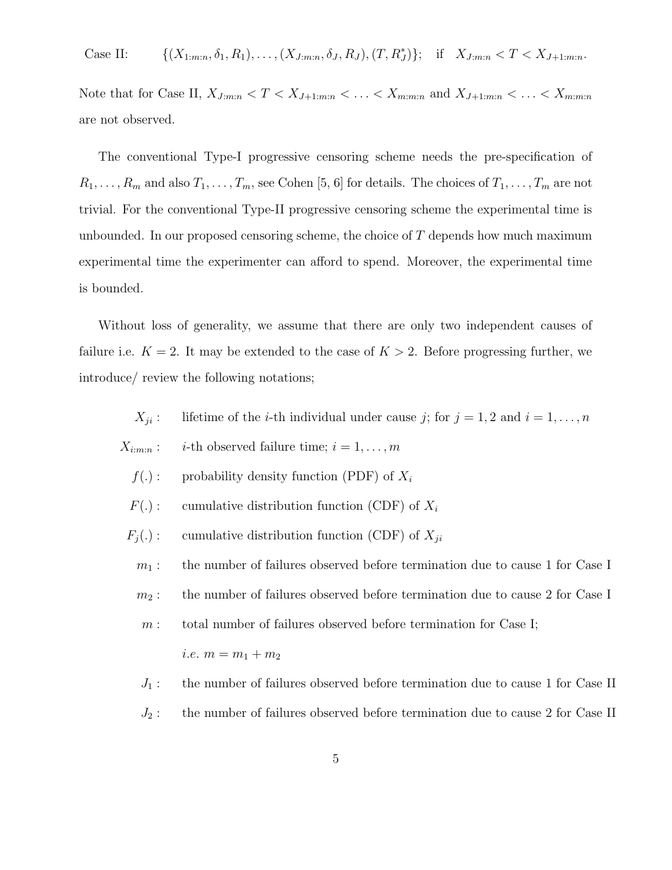Case II:  $\{ (X_{1:m:n}, \delta_1, R_1), \ldots, (X_{J:m:n}, \delta_J, R_J), (T, R_J^*) \};$  if  $X_{J:m:n} < T < X_{J+1:m:n}$ .

Note that for Case II,  $X_{J:m:n} < T < X_{J+1:m:n} < \ldots < X_{m:m:n}$  and  $X_{J+1:m:n} < \ldots < X_{m:m:n}$ are not observed.

The conventional Type-I progressive censoring scheme needs the pre-specification of  $R_1, \ldots, R_m$  and also  $T_1, \ldots, T_m$ , see Cohen [5, 6] for details. The choices of  $T_1, \ldots, T_m$  are not trivial. For the conventional Type-II progressive censoring scheme the experimental time is unbounded. In our proposed censoring scheme, the choice of  $T$  depends how much maximum experimental time the experimenter can afford to spend. Moreover, the experimental time is bounded.

Without loss of generality, we assume that there are only two independent causes of failure i.e.  $K = 2$ . It may be extended to the case of  $K > 2$ . Before progressing further, we introduce/ review the following notations;

> $X_{ii}$ : lifetime of the *i*-th individual under cause *j*; for  $j = 1, 2$  and  $i = 1, ..., n$

- $X_{i:m:n}$ : *i*-th observed failure time;  $i = 1, \ldots, m$ 
	- $f(.)$ : probability density function (PDF) of  $X_i$
	- $F(.)$ : cumulative distribution function (CDF) of  $X_i$
	- $F_j(.)$ : cumulative distribution function (CDF) of  $X_{ji}$

 $m_1$ : the number of failures observed before termination due to cause 1 for Case I

 $m_2$ : the number of failures observed before termination due to cause 2 for Case I

 $m:$  total number of failures observed before termination for Case I;

i.e. 
$$
m = m_1 + m_2
$$

- $J_1$ : the number of failures observed before termination due to cause 1 for Case II
- $J_2$ : the number of failures observed before termination due to cause 2 for Case II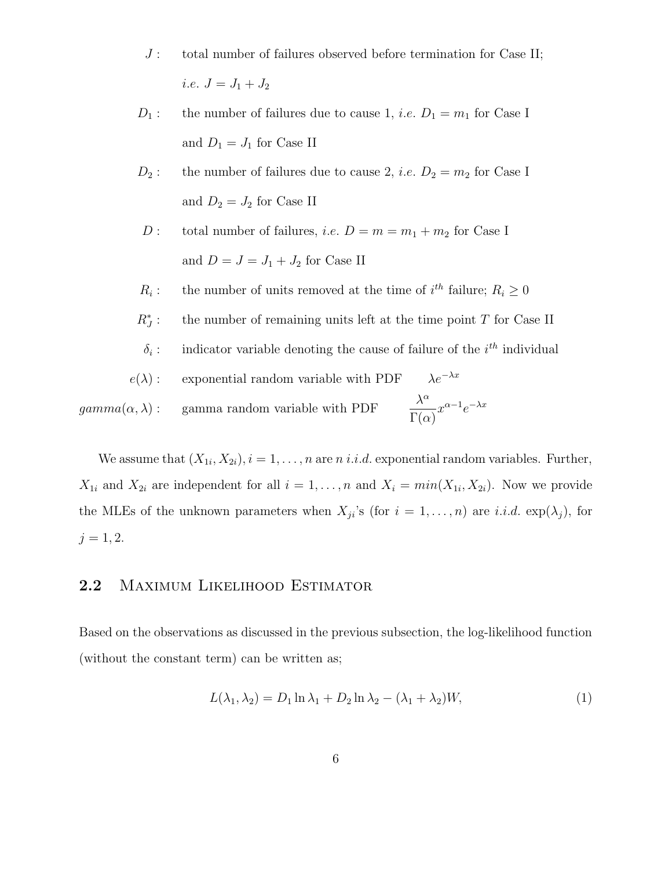- $J:$  total number of failures observed before termination for Case II; *i.e.*  $J = J_1 + J_2$
- $D_1$ : the number of failures due to cause 1, *i.e.*  $D_1 = m_1$  for Case I and  $D_1 = J_1$  for Case II
- $D_2$ : the number of failures due to cause 2, *i.e.*  $D_2 = m_2$  for Case I and  $D_2 = J_2$  for Case II
- D : total number of failures, *i.e.*  $D = m = m_1 + m_2$  for Case I and  $D = J = J_1 + J_2$  for Case II
- $R_i$ : the number of units removed at the time of  $i^{th}$  failure;  $R_i \geq 0$
- $R_J^*$ the number of remaining units left at the time point  $T$  for Case II
- $\delta_i$ : : indicator variable denoting the cause of failure of the  $i<sup>th</sup>$  individual

$$
e(\lambda): \quad \text{exponential random variable with PDF} \quad \lambda e^{-\lambda x}
$$
\n
$$
gamma(\alpha, \lambda): \quad \text{gamma random variable with PDF} \quad \frac{\lambda^{\alpha}}{\Gamma(\alpha)} x^{\alpha - 1} e^{-\lambda x}
$$

We assume that  $(X_{1i}, X_{2i}), i = 1, \ldots, n$  are *n i.i.d.* exponential random variables. Further,  $X_{1i}$  and  $X_{2i}$  are independent for all  $i = 1, \ldots, n$  and  $X_i = min(X_{1i}, X_{2i})$ . Now we provide the MLEs of the unknown parameters when  $X_{ji}$ 's (for  $i = 1, ..., n$ ) are i.i.d.  $\exp(\lambda_j)$ , for  $j = 1, 2.$ 

### 2.2 MAXIMUM LIKELIHOOD ESTIMATOR

Based on the observations as discussed in the previous subsection, the log-likelihood function (without the constant term) can be written as;

$$
L(\lambda_1, \lambda_2) = D_1 \ln \lambda_1 + D_2 \ln \lambda_2 - (\lambda_1 + \lambda_2)W,
$$
\n(1)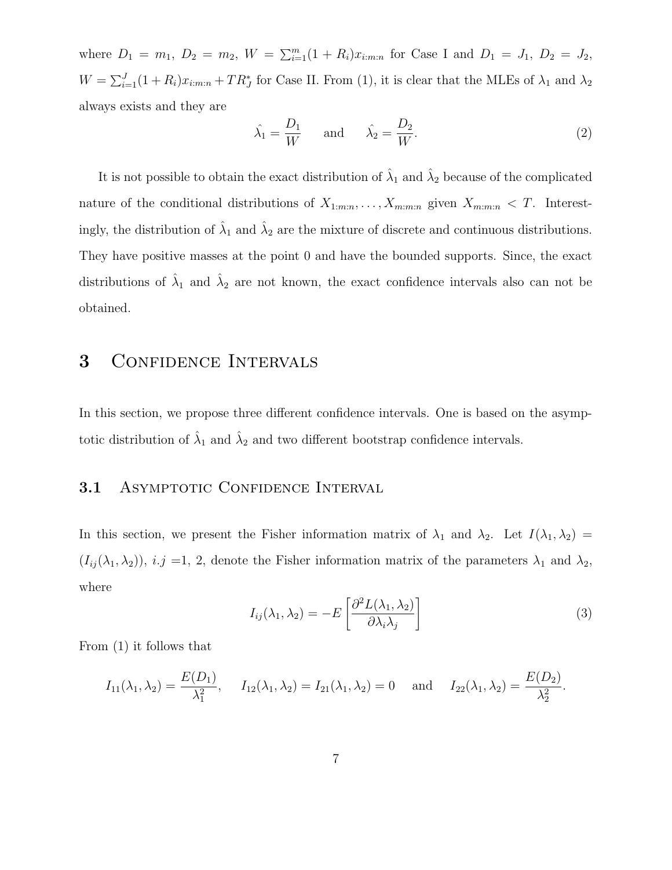where  $D_1 = m_1, D_2 = m_2, W = \sum_{i=1}^{m} (1 + R_i)x_{i:m:n}$  for Case I and  $D_1 = J_1, D_2 = J_2$ ,  $W = \sum_{i=1}^{J} (1 + R_i)x_{i:m:n} + TR_J^*$  for Case II. From (1), it is clear that the MLEs of  $\lambda_1$  and  $\lambda_2$ always exists and they are

$$
\hat{\lambda}_1 = \frac{D_1}{W} \quad \text{and} \quad \hat{\lambda}_2 = \frac{D_2}{W}.\tag{2}
$$

It is not possible to obtain the exact distribution of  $\hat{\lambda}_1$  and  $\hat{\lambda}_2$  because of the complicated nature of the conditional distributions of  $X_{1:m:n}, \ldots, X_{m:m:n}$  given  $X_{m:m:n} < T$ . Interestingly, the distribution of  $\hat{\lambda}_1$  and  $\hat{\lambda}_2$  are the mixture of discrete and continuous distributions. They have positive masses at the point 0 and have the bounded supports. Since, the exact distributions of  $\hat{\lambda}_1$  and  $\hat{\lambda}_2$  are not known, the exact confidence intervals also can not be obtained.

### 3 CONFIDENCE INTERVALS

In this section, we propose three different confidence intervals. One is based on the asymptotic distribution of  $\hat{\lambda}_1$  and  $\hat{\lambda}_2$  and two different bootstrap confidence intervals.

### 3.1 ASYMPTOTIC CONFIDENCE INTERVAL

In this section, we present the Fisher information matrix of  $\lambda_1$  and  $\lambda_2$ . Let  $I(\lambda_1, \lambda_2) =$  $(I_{ij}(\lambda_1, \lambda_2)), i.j =1, 2$ , denote the Fisher information matrix of the parameters  $\lambda_1$  and  $\lambda_2$ , where

$$
I_{ij}(\lambda_1, \lambda_2) = -E\left[\frac{\partial^2 L(\lambda_1, \lambda_2)}{\partial \lambda_i \lambda_j}\right]
$$
\n(3)

From (1) it follows that

$$
I_{11}(\lambda_1, \lambda_2) = \frac{E(D_1)}{\lambda_1^2}
$$
,  $I_{12}(\lambda_1, \lambda_2) = I_{21}(\lambda_1, \lambda_2) = 0$  and  $I_{22}(\lambda_1, \lambda_2) = \frac{E(D_2)}{\lambda_2^2}$ .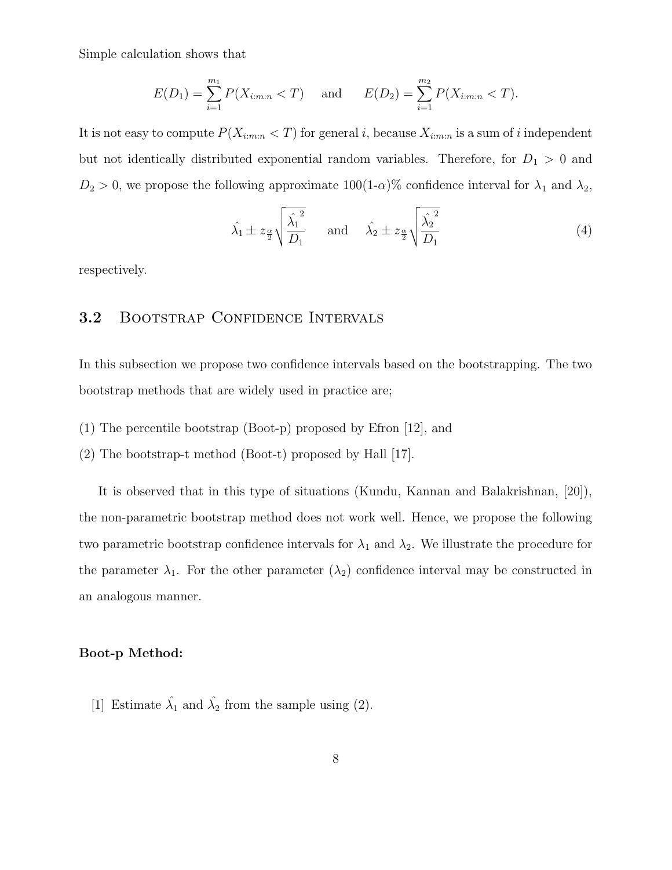Simple calculation shows that

$$
E(D_1) = \sum_{i=1}^{m_1} P(X_{i:m:n} < T) \quad \text{and} \quad E(D_2) = \sum_{i=1}^{m_2} P(X_{i:m:n} < T).
$$

It is not easy to compute  $P(X_{i:m:n} < T)$  for general i, because  $X_{i:m:n}$  is a sum of i independent but not identically distributed exponential random variables. Therefore, for  $D_1 > 0$  and  $D_2 > 0$ , we propose the following approximate  $100(1-\alpha)\%$  confidence interval for  $\lambda_1$  and  $\lambda_2$ ,

$$
\hat{\lambda}_1 \pm z_{\frac{\alpha}{2}} \sqrt{\frac{\hat{\lambda}_1^2}{D_1}} \quad \text{and} \quad \hat{\lambda}_2 \pm z_{\frac{\alpha}{2}} \sqrt{\frac{\hat{\lambda}_2^2}{D_1}}
$$
 (4)

respectively.

### 3.2 BOOTSTRAP CONFIDENCE INTERVALS

In this subsection we propose two confidence intervals based on the bootstrapping. The two bootstrap methods that are widely used in practice are;

- (1) The percentile bootstrap (Boot-p) proposed by Efron [12], and
- (2) The bootstrap-t method (Boot-t) proposed by Hall [17].

It is observed that in this type of situations (Kundu, Kannan and Balakrishnan, [20]), the non-parametric bootstrap method does not work well. Hence, we propose the following two parametric bootstrap confidence intervals for  $\lambda_1$  and  $\lambda_2$ . We illustrate the procedure for the parameter  $\lambda_1$ . For the other parameter  $(\lambda_2)$  confidence interval may be constructed in an analogous manner.

#### Boot-p Method:

[1] Estimate  $\hat{\lambda}_1$  and  $\hat{\lambda}_2$  from the sample using (2).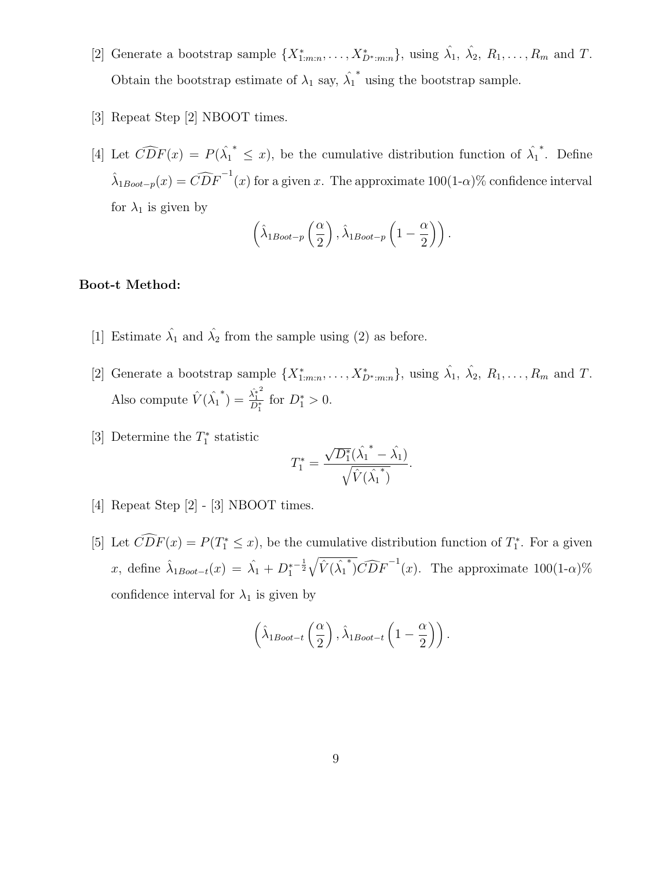- [2] Generate a bootstrap sample  $\{X_{1:m:n}^*,\ldots,X_{D^*:m:n}^*\}$ , using  $\hat{\lambda}_1, \hat{\lambda}_2, R_1,\ldots,R_m$  and T. Obtain the bootstrap estimate of  $\lambda_1$  say,  $\hat{\lambda_1}$ ∗ using the bootstrap sample.
- [3] Repeat Step [2] NBOOT times.
- [4] Let  $\widehat{CDF}(x) = P(\hat{\lambda_1})$ <sup>\*</sup>  $\leq$  *x*), be the cumulative distribution function of  $\hat{\lambda_1}$ ∗ . Define  $\hat{\lambda}_{1Boot-p}(x) = \widehat{CDF}^{-1}(x)$  for a given x. The approximate  $100(1-\alpha)\%$  confidence interval for  $\lambda_1$  is given by

$$
\left(\hat{\lambda}_{1\text{boot}-p}\left(\frac{\alpha}{2}\right), \hat{\lambda}_{1\text{boot}-p}\left(1-\frac{\alpha}{2}\right)\right).
$$

### Boot-t Method:

- [1] Estimate  $\hat{\lambda}_1$  and  $\hat{\lambda}_2$  from the sample using (2) as before.
- [2] Generate a bootstrap sample  $\{X_{1:m:n}^*,\ldots,X_{D^*:m:n}^*\}$ , using  $\hat{\lambda}_1, \hat{\lambda}_2, R_1,\ldots,R_m$  and T. Also compute  $\hat{V}(\hat{\lambda_1})$ \*) =  $\frac{\hat{\lambda_1^*}^2}{D^*}$  $\frac{\lambda_1^*}{D_1^*}$  for  $D_1^* > 0$ .
- [3] Determine the  $T_1^*$  statistic

$$
T_1^* = \frac{\sqrt{D_1^*}(\hat{\lambda_1}^* - \hat{\lambda_1})}{\sqrt{\hat{V}(\hat{\lambda_1}^*)}}.
$$

- [4] Repeat Step [2] [3] NBOOT times.
- [5] Let  $\widehat{CDF}(x) = P(T_1^* \leq x)$ , be the cumulative distribution function of  $T_1^*$ . For a given x, define  $\hat{\lambda}_{1Boot-t}(x) = \hat{\lambda}_1 + D_1^*$  $-\frac{1}{2}\sqrt{\hat{V}(\hat{\lambda_1})}$  $\sqrt[*]{CDF}^{-1}(x)$ . The approximate 100(1- $\alpha$ )% confidence interval for  $\lambda_1$  is given by

$$
\left(\hat{\lambda}_{1Boot-t}\left(\frac{\alpha}{2}\right), \hat{\lambda}_{1Boot-t}\left(1-\frac{\alpha}{2}\right)\right).
$$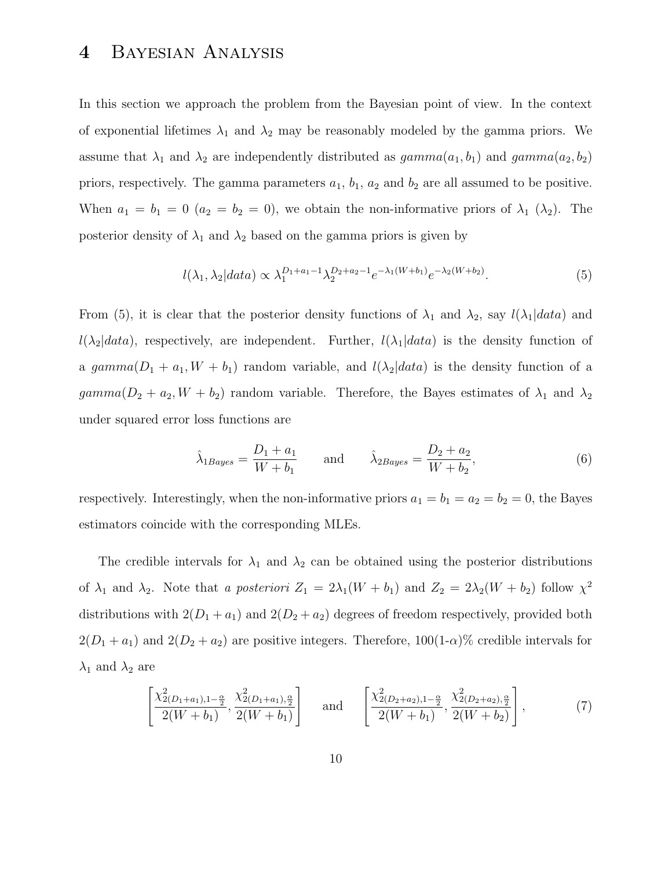# 4 Bayesian Analysis

In this section we approach the problem from the Bayesian point of view. In the context of exponential lifetimes  $\lambda_1$  and  $\lambda_2$  may be reasonably modeled by the gamma priors. We assume that  $\lambda_1$  and  $\lambda_2$  are independently distributed as  $gamma(a_1, b_1)$  and  $gamma(a_2, b_2)$ priors, respectively. The gamma parameters  $a_1$ ,  $b_1$ ,  $a_2$  and  $b_2$  are all assumed to be positive. When  $a_1 = b_1 = 0$   $(a_2 = b_2 = 0)$ , we obtain the non-informative priors of  $\lambda_1$   $(\lambda_2)$ . The posterior density of  $\lambda_1$  and  $\lambda_2$  based on the gamma priors is given by

$$
l(\lambda_1, \lambda_2|data) \propto \lambda_1^{D_1 + a_1 - 1} \lambda_2^{D_2 + a_2 - 1} e^{-\lambda_1 (W + b_1)} e^{-\lambda_2 (W + b_2)}.
$$
 (5)

From (5), it is clear that the posterior density functions of  $\lambda_1$  and  $\lambda_2$ , say  $l(\lambda_1|data)$  and  $l(\lambda_2|data)$ , respectively, are independent. Further,  $l(\lambda_1|data)$  is the density function of a gamma $(D_1 + a_1, W + b_1)$  random variable, and  $l(\lambda_2|data)$  is the density function of a  $gamma(D_2 + a_2, W + b_2)$  random variable. Therefore, the Bayes estimates of  $\lambda_1$  and  $\lambda_2$ under squared error loss functions are

$$
\hat{\lambda}_{1Bayes} = \frac{D_1 + a_1}{W + b_1} \quad \text{and} \quad \hat{\lambda}_{2Bayes} = \frac{D_2 + a_2}{W + b_2},\tag{6}
$$

respectively. Interestingly, when the non-informative priors  $a_1 = b_1 = a_2 = b_2 = 0$ , the Bayes estimators coincide with the corresponding MLEs.

The credible intervals for  $\lambda_1$  and  $\lambda_2$  can be obtained using the posterior distributions of  $\lambda_1$  and  $\lambda_2$ . Note that a posteriori  $Z_1 = 2\lambda_1(W + b_1)$  and  $Z_2 = 2\lambda_2(W + b_2)$  follow  $\chi^2$ distributions with  $2(D_1 + a_1)$  and  $2(D_2 + a_2)$  degrees of freedom respectively, provided both  $2(D_1 + a_1)$  and  $2(D_2 + a_2)$  are positive integers. Therefore,  $100(1-\alpha)\%$  credible intervals for  $\lambda_1$  and  $\lambda_2$  are

$$
\left[\frac{\chi_{2(D_1+a_1),1-\frac{\alpha}{2}}^2}{2(W+b_1)},\frac{\chi_{2(D_1+a_1),\frac{\alpha}{2}}^2}{2(W+b_1)}\right] \text{ and } \left[\frac{\chi_{2(D_2+a_2),1-\frac{\alpha}{2}}^2}{2(W+b_1)},\frac{\chi_{2(D_2+a_2),\frac{\alpha}{2}}^2}{2(W+b_2)}\right],\tag{7}
$$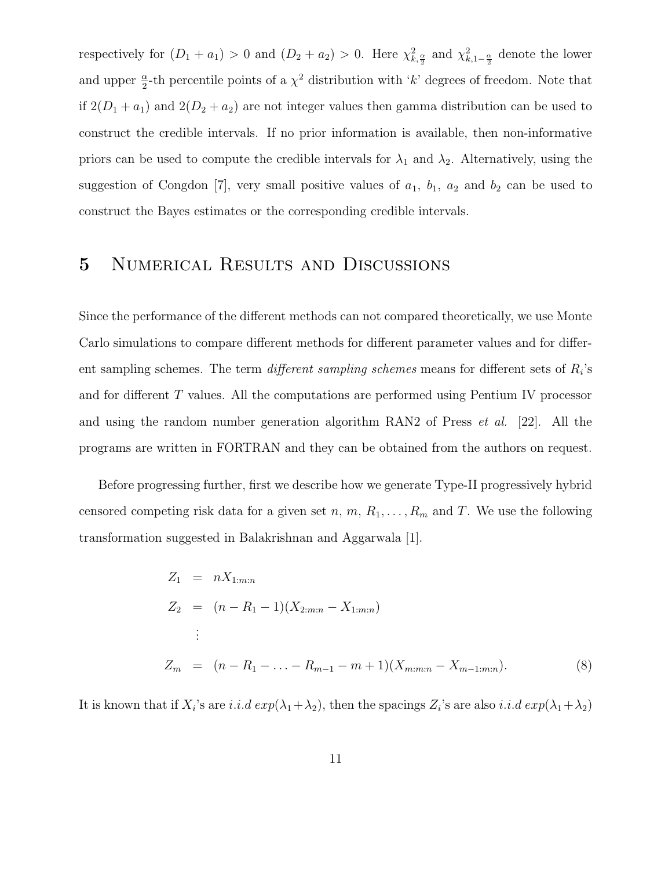respectively for  $(D_1 + a_1) > 0$  and  $(D_2 + a_2) > 0$ . Here  $\chi^2_{k, \frac{\alpha}{2}}$  and  $\chi^2_{k, 1-\frac{\alpha}{2}}$  denote the lower and upper  $\frac{\alpha}{2}$ -th percentile points of a  $\chi^2$  distribution with 'k' degrees of freedom. Note that if  $2(D_1 + a_1)$  and  $2(D_2 + a_2)$  are not integer values then gamma distribution can be used to construct the credible intervals. If no prior information is available, then non-informative priors can be used to compute the credible intervals for  $\lambda_1$  and  $\lambda_2$ . Alternatively, using the suggestion of Congdon [7], very small positive values of  $a_1$ ,  $b_1$ ,  $a_2$  and  $b_2$  can be used to construct the Bayes estimates or the corresponding credible intervals.

# 5 Numerical Results and Discussions

Since the performance of the different methods can not compared theoretically, we use Monte Carlo simulations to compare different methods for different parameter values and for different sampling schemes. The term *different sampling schemes* means for different sets of  $R_i$ 's and for different  $T$  values. All the computations are performed using Pentium IV processor and using the random number generation algorithm RAN2 of Press et al. [22]. All the programs are written in FORTRAN and they can be obtained from the authors on request.

Before progressing further, first we describe how we generate Type-II progressively hybrid censored competing risk data for a given set n, m,  $R_1, \ldots, R_m$  and T. We use the following transformation suggested in Balakrishnan and Aggarwala [1].

$$
Z_1 = nX_{1:m:n}
$$
  
\n
$$
Z_2 = (n - R_1 - 1)(X_{2:m:n} - X_{1:m:n})
$$
  
\n
$$
\vdots
$$
  
\n
$$
Z_m = (n - R_1 - ... - R_{m-1} - m + 1)(X_{m:m:n} - X_{m-1:m:n}).
$$
\n(8)

It is known that if  $X_i$ 's are i.i.d  $exp(\lambda_1 + \lambda_2)$ , then the spacings  $Z_i$ 's are also i.i.d  $exp(\lambda_1 + \lambda_2)$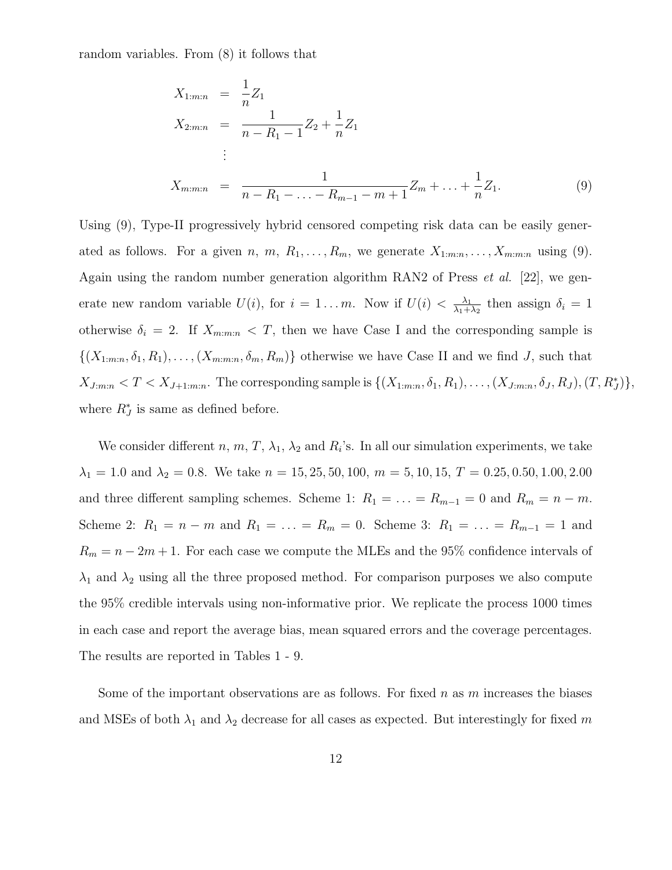random variables. From (8) it follows that

$$
X_{1:m:n} = \frac{1}{n} Z_1
$$
  
\n
$$
X_{2:m:n} = \frac{1}{n - R_1 - 1} Z_2 + \frac{1}{n} Z_1
$$
  
\n
$$
\vdots
$$
  
\n
$$
X_{m:m:n} = \frac{1}{n - R_1 - \ldots - R_{m-1} - m + 1} Z_m + \ldots + \frac{1}{n} Z_1.
$$
  
\n(9)

Using (9), Type-II progressively hybrid censored competing risk data can be easily generated as follows. For a given n, m,  $R_1, \ldots, R_m$ , we generate  $X_{1:m:n}, \ldots, X_{m:m:n}$  using (9). Again using the random number generation algorithm RAN2 of Press et al. [22], we generate new random variable  $U(i)$ , for  $i = 1...m$ . Now if  $U(i) < \frac{\lambda_1}{\lambda_1 + \lambda_2}$  $\frac{\lambda_1}{\lambda_1+\lambda_2}$  then assign  $\delta_i=1$ otherwise  $\delta_i = 2$ . If  $X_{m:m:n} < T$ , then we have Case I and the corresponding sample is  $\{(X_{1:m:n}, \delta_1, R_1), \ldots, (X_{m:m:n}, \delta_m, R_m)\}\$  otherwise we have Case II and we find J, such that  $X_{J:m:n} < T < X_{J+1:m:n}$ . The corresponding sample is  $\{(X_{1:m:n}, \delta_1, R_1), \ldots, (X_{J:m:n}, \delta_J, R_J), (T, R_J^*)\},$ where  $R_J^*$  is same as defined before.

We consider different  $n, m, T, \lambda_1, \lambda_2$  and  $R_i$ 's. In all our simulation experiments, we take  $\lambda_1 = 1.0$  and  $\lambda_2 = 0.8$ . We take  $n = 15, 25, 50, 100, m = 5, 10, 15, T = 0.25, 0.50, 1.00, 2.00$ and three different sampling schemes. Scheme 1:  $R_1 = \ldots = R_{m-1} = 0$  and  $R_m = n - m$ . Scheme 2:  $R_1 = n - m$  and  $R_1 = \ldots = R_m = 0$ . Scheme 3:  $R_1 = \ldots = R_{m-1} = 1$  and  $R_m = n - 2m + 1$ . For each case we compute the MLEs and the 95% confidence intervals of  $\lambda_1$  and  $\lambda_2$  using all the three proposed method. For comparison purposes we also compute the 95% credible intervals using non-informative prior. We replicate the process 1000 times in each case and report the average bias, mean squared errors and the coverage percentages. The results are reported in Tables 1 - 9.

Some of the important observations are as follows. For fixed n as  $m$  increases the biases and MSEs of both  $\lambda_1$  and  $\lambda_2$  decrease for all cases as expected. But interestingly for fixed m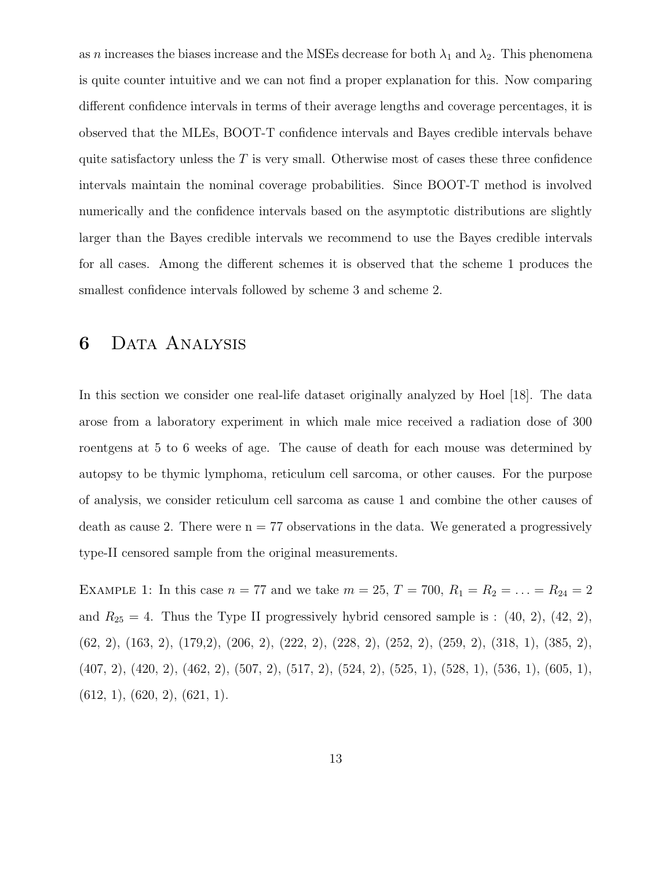as *n* increases the biases increase and the MSEs decrease for both  $\lambda_1$  and  $\lambda_2$ . This phenomena is quite counter intuitive and we can not find a proper explanation for this. Now comparing different confidence intervals in terms of their average lengths and coverage percentages, it is observed that the MLEs, BOOT-T confidence intervals and Bayes credible intervals behave quite satisfactory unless the  $T$  is very small. Otherwise most of cases these three confidence intervals maintain the nominal coverage probabilities. Since BOOT-T method is involved numerically and the confidence intervals based on the asymptotic distributions are slightly larger than the Bayes credible intervals we recommend to use the Bayes credible intervals for all cases. Among the different schemes it is observed that the scheme 1 produces the smallest confidence intervals followed by scheme 3 and scheme 2.

# 6 Data Analysis

In this section we consider one real-life dataset originally analyzed by Hoel [18]. The data arose from a laboratory experiment in which male mice received a radiation dose of 300 roentgens at 5 to 6 weeks of age. The cause of death for each mouse was determined by autopsy to be thymic lymphoma, reticulum cell sarcoma, or other causes. For the purpose of analysis, we consider reticulum cell sarcoma as cause 1 and combine the other causes of death as cause 2. There were  $n = 77$  observations in the data. We generated a progressively type-II censored sample from the original measurements.

EXAMPLE 1: In this case  $n = 77$  and we take  $m = 25$ ,  $T = 700$ ,  $R_1 = R_2 = \ldots = R_{24} = 2$ and  $R_{25} = 4$ . Thus the Type II progressively hybrid censored sample is : (40, 2), (42, 2), (62, 2), (163, 2), (179,2), (206, 2), (222, 2), (228, 2), (252, 2), (259, 2), (318, 1), (385, 2), (407, 2), (420, 2), (462, 2), (507, 2), (517, 2), (524, 2), (525, 1), (528, 1), (536, 1), (605, 1),  $(612, 1), (620, 2), (621, 1).$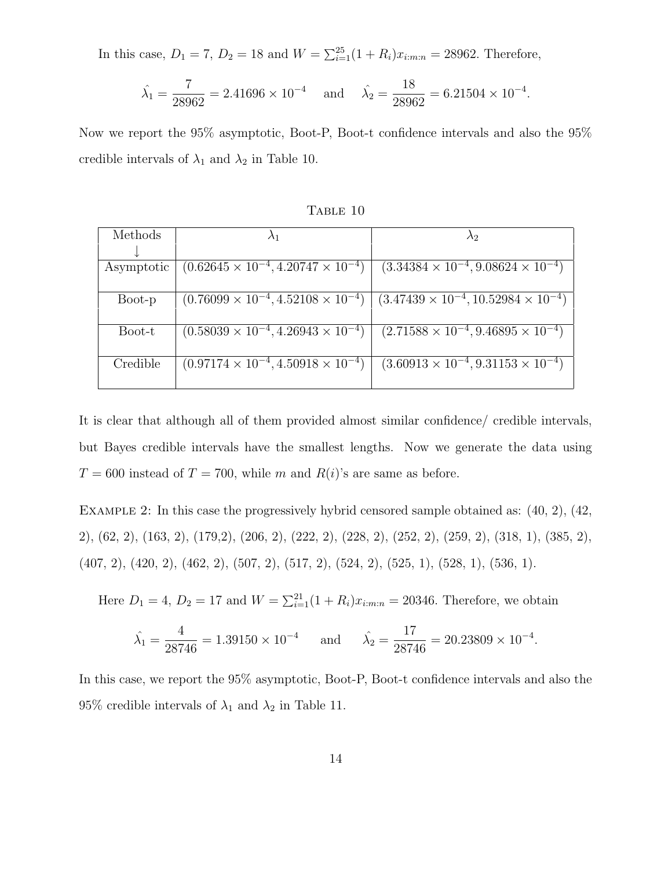In this case,  $D_1 = 7$ ,  $D_2 = 18$  and  $W = \sum_{i=1}^{25} (1 + R_i)x_{i:m:n} = 28962$ . Therefore,

$$
\hat{\lambda}_1 = \frac{7}{28962} = 2.41696 \times 10^{-4}
$$
 and  $\hat{\lambda}_2 = \frac{18}{28962} = 6.21504 \times 10^{-4}$ .

Now we report the 95% asymptotic, Boot-P, Boot-t confidence intervals and also the 95% credible intervals of  $\lambda_1$  and  $\lambda_2$  in Table 10.

| Methods    | $\lambda_1$                                        | $\lambda$ 2                                         |
|------------|----------------------------------------------------|-----------------------------------------------------|
|            |                                                    |                                                     |
| Asymptotic | $(0.62645 \times 10^{-4}, 4.20747 \times 10^{-4})$ | $(3.34384 \times 10^{-4}, 9.08624 \times 10^{-4})$  |
|            |                                                    |                                                     |
| Boot-p     | $(0.76099 \times 10^{-4}, 4.52108 \times 10^{-4})$ | $(3.47439 \times 10^{-4}, 10.52984 \times 10^{-4})$ |
|            |                                                    |                                                     |
| Boot-t     | $(0.58039 \times 10^{-4}, 4.26943 \times 10^{-4})$ | $(2.71588 \times 10^{-4}, 9.46895 \times 10^{-4})$  |
|            |                                                    |                                                     |
| Credible   | $(0.97174 \times 10^{-4}, 4.50918 \times 10^{-4})$ | $(3.60913 \times 10^{-4}, 9.31153 \times 10^{-4})$  |
|            |                                                    |                                                     |

TABLE 10

It is clear that although all of them provided almost similar confidence/ credible intervals, but Bayes credible intervals have the smallest lengths. Now we generate the data using  $T = 600$  instead of  $T = 700$ , while m and  $R(i)$ 's are same as before.

Example 2: In this case the progressively hybrid censored sample obtained as: (40, 2), (42, 2), (62, 2), (163, 2), (179,2), (206, 2), (222, 2), (228, 2), (252, 2), (259, 2), (318, 1), (385, 2), (407, 2), (420, 2), (462, 2), (507, 2), (517, 2), (524, 2), (525, 1), (528, 1), (536, 1).

Here  $D_1 = 4$ ,  $D_2 = 17$  and  $W = \sum_{i=1}^{21} (1 + R_i)x_{i:m:n} = 20346$ . Therefore, we obtain

$$
\hat{\lambda}_1 = \frac{4}{28746} = 1.39150 \times 10^{-4}
$$
 and  $\hat{\lambda}_2 = \frac{17}{28746} = 20.23809 \times 10^{-4}$ .

In this case, we report the 95% asymptotic, Boot-P, Boot-t confidence intervals and also the 95% credible intervals of  $\lambda_1$  and  $\lambda_2$  in Table 11.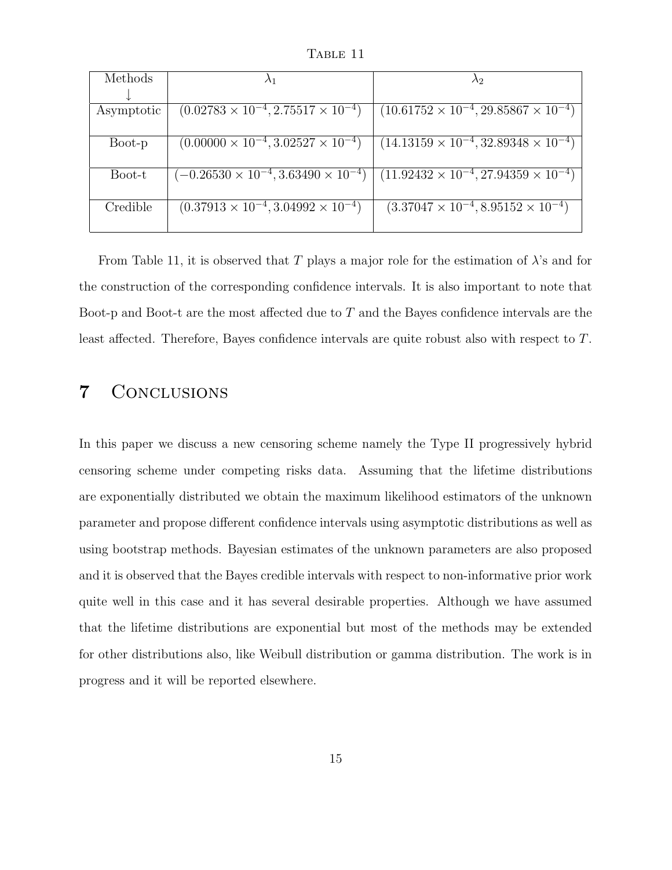TABLE 11

| Methods    |                                                     |                                                      |
|------------|-----------------------------------------------------|------------------------------------------------------|
|            |                                                     |                                                      |
| Asymptotic | $(0.02783 \times 10^{-4}, 2.75517 \times 10^{-4})$  | $(10.61752 \times 10^{-4}, 29.85867 \times 10^{-4})$ |
|            |                                                     |                                                      |
| Boot-p     | $(0.00000 \times 10^{-4}, 3.02527 \times 10^{-4})$  | $(14.13159 \times 10^{-4}, 32.89348 \times 10^{-4})$ |
|            |                                                     |                                                      |
| Boot-t     | $(-0.26530 \times 10^{-4}, 3.63490 \times 10^{-4})$ | $(11.92432 \times 10^{-4}, 27.94359 \times 10^{-4})$ |
|            |                                                     |                                                      |
| Credible   | $(0.37913 \times 10^{-4}, 3.04992 \times 10^{-4})$  | $(3.37047 \times 10^{-4}, 8.95152 \times 10^{-4})$   |
|            |                                                     |                                                      |

From Table 11, it is observed that T plays a major role for the estimation of  $\lambda$ 's and for the construction of the corresponding confidence intervals. It is also important to note that Boot-p and Boot-t are the most affected due to T and the Bayes confidence intervals are the least affected. Therefore, Bayes confidence intervals are quite robust also with respect to T.

# 7 Conclusions

In this paper we discuss a new censoring scheme namely the Type II progressively hybrid censoring scheme under competing risks data. Assuming that the lifetime distributions are exponentially distributed we obtain the maximum likelihood estimators of the unknown parameter and propose different confidence intervals using asymptotic distributions as well as using bootstrap methods. Bayesian estimates of the unknown parameters are also proposed and it is observed that the Bayes credible intervals with respect to non-informative prior work quite well in this case and it has several desirable properties. Although we have assumed that the lifetime distributions are exponential but most of the methods may be extended for other distributions also, like Weibull distribution or gamma distribution. The work is in progress and it will be reported elsewhere.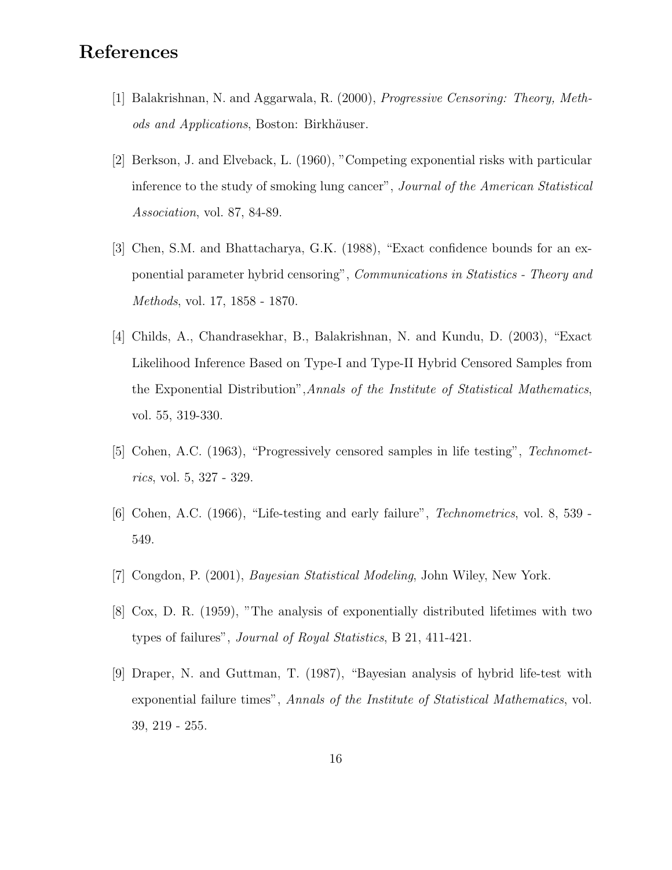# References

- [1] Balakrishnan, N. and Aggarwala, R. (2000), Progressive Censoring: Theory, Methods and Applications, Boston: Birkhäuser.
- [2] Berkson, J. and Elveback, L. (1960), "Competing exponential risks with particular inference to the study of smoking lung cancer", Journal of the American Statistical Association, vol. 87, 84-89.
- [3] Chen, S.M. and Bhattacharya, G.K. (1988), "Exact confidence bounds for an exponential parameter hybrid censoring", Communications in Statistics - Theory and Methods, vol. 17, 1858 - 1870.
- [4] Childs, A., Chandrasekhar, B., Balakrishnan, N. and Kundu, D. (2003), "Exact Likelihood Inference Based on Type-I and Type-II Hybrid Censored Samples from the Exponential Distribution",Annals of the Institute of Statistical Mathematics, vol. 55, 319-330.
- [5] Cohen, A.C. (1963), "Progressively censored samples in life testing", Technometrics, vol. 5, 327 - 329.
- [6] Cohen, A.C. (1966), "Life-testing and early failure", Technometrics, vol. 8, 539 549.
- [7] Congdon, P. (2001), Bayesian Statistical Modeling, John Wiley, New York.
- [8] Cox, D. R. (1959), "The analysis of exponentially distributed lifetimes with two types of failures", Journal of Royal Statistics, B 21, 411-421.
- [9] Draper, N. and Guttman, T. (1987), "Bayesian analysis of hybrid life-test with exponential failure times", Annals of the Institute of Statistical Mathematics, vol. 39, 219 - 255.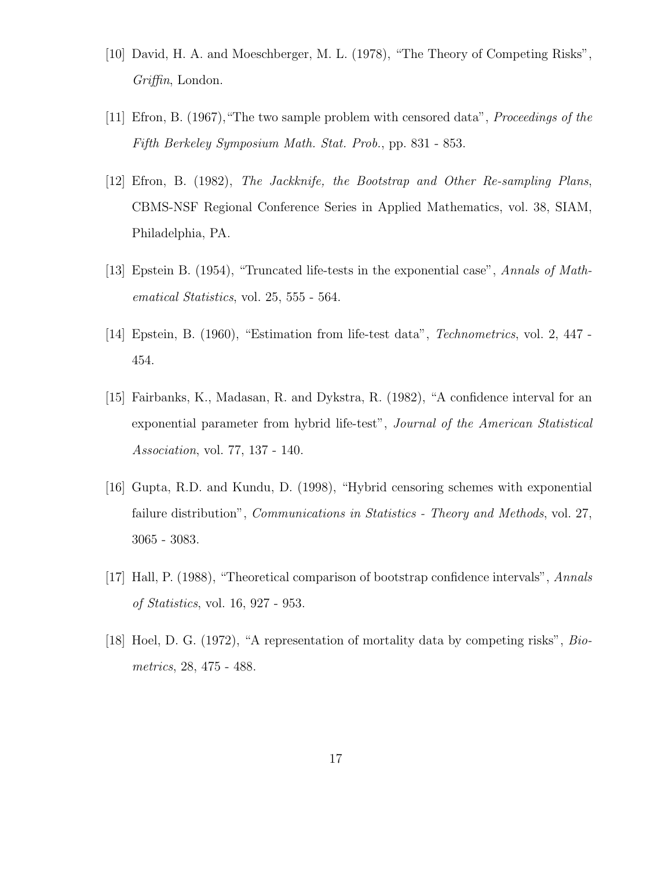- [10] David, H. A. and Moeschberger, M. L. (1978), "The Theory of Competing Risks", Griffin, London.
- [11] Efron, B. (1967),"The two sample problem with censored data", Proceedings of the Fifth Berkeley Symposium Math. Stat. Prob., pp. 831 - 853.
- [12] Efron, B. (1982), The Jackknife, the Bootstrap and Other Re-sampling Plans, CBMS-NSF Regional Conference Series in Applied Mathematics, vol. 38, SIAM, Philadelphia, PA.
- [13] Epstein B. (1954), "Truncated life-tests in the exponential case", Annals of Mathematical Statistics, vol. 25, 555 - 564.
- [14] Epstein, B. (1960), "Estimation from life-test data", Technometrics, vol. 2, 447 454.
- [15] Fairbanks, K., Madasan, R. and Dykstra, R. (1982), "A confidence interval for an exponential parameter from hybrid life-test", Journal of the American Statistical Association, vol. 77, 137 - 140.
- [16] Gupta, R.D. and Kundu, D. (1998), "Hybrid censoring schemes with exponential failure distribution", *Communications in Statistics - Theory and Methods*, vol. 27, 3065 - 3083.
- [17] Hall, P. (1988), "Theoretical comparison of bootstrap confidence intervals", Annals of Statistics, vol. 16, 927 - 953.
- [18] Hoel, D. G. (1972), "A representation of mortality data by competing risks", Biometrics, 28, 475 - 488.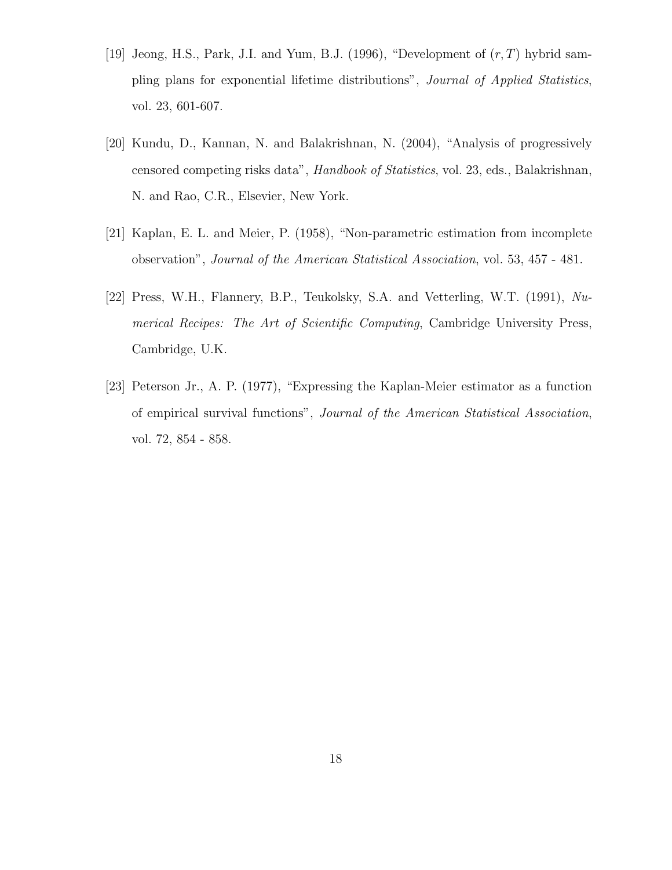- [19] Jeong, H.S., Park, J.I. and Yum, B.J. (1996), "Development of  $(r, T)$  hybrid sampling plans for exponential lifetime distributions", Journal of Applied Statistics, vol. 23, 601-607.
- [20] Kundu, D., Kannan, N. and Balakrishnan, N. (2004), "Analysis of progressively censored competing risks data", Handbook of Statistics, vol. 23, eds., Balakrishnan, N. and Rao, C.R., Elsevier, New York.
- [21] Kaplan, E. L. and Meier, P. (1958), "Non-parametric estimation from incomplete observation", Journal of the American Statistical Association, vol. 53, 457 - 481.
- [22] Press, W.H., Flannery, B.P., Teukolsky, S.A. and Vetterling, W.T. (1991), Numerical Recipes: The Art of Scientific Computing, Cambridge University Press, Cambridge, U.K.
- [23] Peterson Jr., A. P. (1977), "Expressing the Kaplan-Meier estimator as a function of empirical survival functions", Journal of the American Statistical Association, vol. 72, 854 - 858.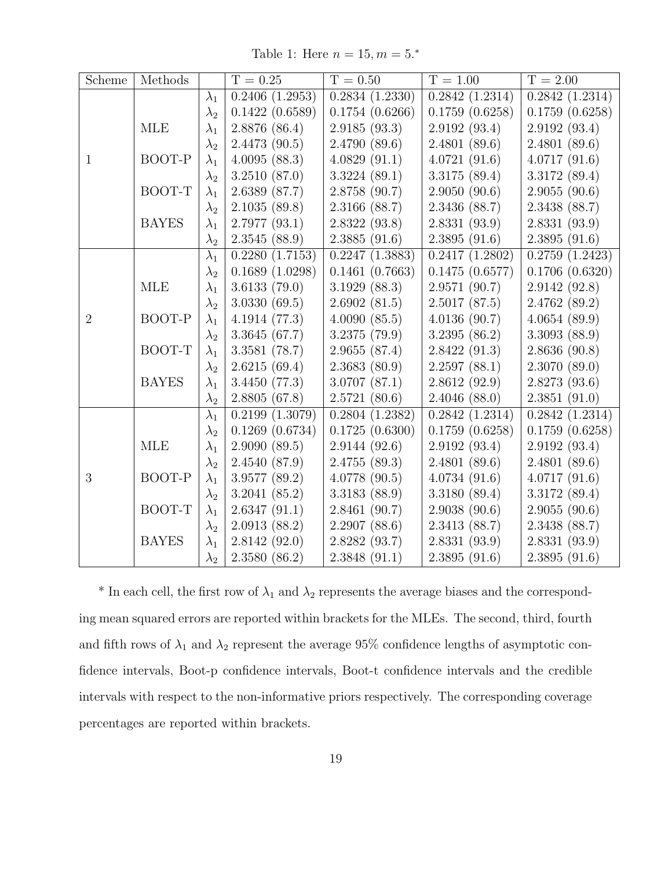Table 1: Here  $n = 15, m = 5.*$ 

| Scheme         | Methods      |             | $T = 0.25$     | $T = 0.50$                                | $T = 1.00$                     | $T = 2.00$                   |
|----------------|--------------|-------------|----------------|-------------------------------------------|--------------------------------|------------------------------|
|                |              | $\lambda_1$ | 0.2406(1.2953) | $\overline{0.2834}$ $\overline{(1.2330)}$ | $\overline{0.2842} \ (1.2314)$ | $\overline{0.2842}$ (1.2314) |
|                |              | $\lambda_2$ | 0.1422(0.6589) | 0.1754(0.6266)                            | 0.1759(0.6258)                 | 0.1759(0.6258)               |
|                | MLE          | $\lambda_1$ | 2.8876(86.4)   | 2.9185(93.3)                              | 2.9192 (93.4)                  | 2.9192(93.4)                 |
|                |              | $\lambda_2$ | 2.4473(90.5)   | 2.4790(89.6)                              | 2.4801(89.6)                   | 2.4801(89.6)                 |
| $\mathbf{1}$   | BOOT-P       | $\lambda_1$ | 4.0095(88.3)   | 4.0829(91.1)                              | 4.0721(91.6)                   | 4.0717(91.6)                 |
|                |              | $\lambda_2$ | 3.2510(87.0)   | 3.3224(89.1)                              | 3.3175(89.4)                   | 3.3172 (89.4)                |
|                | BOOT-T       | $\lambda_1$ | 2.6389 (87.7)  | 2.8758 (90.7)                             | 2.9050(90.6)                   | 2.9055(90.6)                 |
|                |              | $\lambda_2$ | 2.1035(89.8)   | 2.3166 (88.7)                             | 2.3436 (88.7)                  | 2.3438 (88.7)                |
|                | <b>BAYES</b> | $\lambda_1$ | 2.7977(93.1)   | 2.8322(93.8)                              | 2.8331(93.9)                   | 2.8331(93.9)                 |
|                |              | $\lambda_2$ | 2.3545(88.9)   | 2.3885(91.6)                              | 2.3895(91.6)                   | 2.3895(91.6)                 |
|                |              | $\lambda_1$ | 0.2280(1.7153) | 0.2247(1.3883)                            | 0.2417(1.2802)                 | 0.2759(1.2423)               |
|                |              | $\lambda_2$ | 0.1689(1.0298) | 0.1461(0.7663)                            | 0.1475(0.6577)                 | 0.1706(0.6320)               |
|                | <b>MLE</b>   | $\lambda_1$ | 3.6133(79.0)   | 3.1929(88.3)                              | 2.9571 (90.7)                  | 2.9142 (92.8)                |
|                |              | $\lambda_2$ | 3.0330(69.5)   | 2.6902(81.5)                              | 2.5017(87.5)                   | 2.4762(89.2)                 |
| $\overline{2}$ | BOOT-P       | $\lambda_1$ | 4.1914(77.3)   | 4.0090(85.5)                              | 4.0136(90.7)                   | 4.0654(89.9)                 |
|                |              | $\lambda_2$ | 3.3645(67.7)   | 3.2375 (79.9)                             | 3.2395(86.2)                   | 3.3093(88.9)                 |
|                | BOOT-T       | $\lambda_1$ | 3.3581(78.7)   | 2.9655(87.4)                              | 2.8422(91.3)                   | 2.8636(90.8)                 |
|                |              | $\lambda_2$ | 2.6215(69.4)   | 2.3683(80.9)                              | 2.2597(88.1)                   | 2.3070(89.0)                 |
|                | <b>BAYES</b> | $\lambda_1$ | 3.4450(77.3)   | 3.0707(87.1)                              | 2.8612(92.9)                   | 2.8273(93.6)                 |
|                |              | $\lambda_2$ | 2.8805(67.8)   | 2.5721(80.6)                              | 2.4046(88.0)                   | 2.3851(91.0)                 |
|                |              | $\lambda_1$ | 0.2199(1.3079) | 0.2804(1.2382)                            | 0.2842(1.2314)                 | 0.2842(1.2314)               |
|                |              | $\lambda_2$ | 0.1269(0.6734) | 0.1725(0.6300)                            | 0.1759(0.6258)                 | 0.1759(0.6258)               |
|                | <b>MLE</b>   | $\lambda_1$ | 2.9090(89.5)   | 2.9144(92.6)                              | 2.9192 (93.4)                  | 2.9192(93.4)                 |
|                |              | $\lambda_2$ | 2.4540(87.9)   | 2.4755(89.3)                              | 2.4801(89.6)                   | 2.4801(89.6)                 |
| 3              | BOOT-P       | $\lambda_1$ | 3.9577(89.2)   | 4.0778(90.5)                              | 4.0734(91.6)                   | 4.0717(91.6)                 |
|                |              | $\lambda_2$ | 3.2041(85.2)   | 3.3183 (88.9)                             | 3.3180(89.4)                   | 3.3172 (89.4)                |
|                | BOOT-T       | $\lambda_1$ | 2.6347(91.1)   | 2.8461(90.7)                              | 2.9038(90.6)                   | 2.9055(90.6)                 |
|                |              | $\lambda_2$ | 2.0913(88.2)   | 2.2907(88.6)                              | 2.3413(88.7)                   | 2.3438 (88.7)                |
|                | <b>BAYES</b> | $\lambda_1$ | 2.8142(92.0)   | 2.8282 (93.7)                             | 2.8331(93.9)                   | 2.8331(93.9)                 |
|                |              | $\lambda_2$ | 2.3580(86.2)   | 2.3848(91.1)                              | 2.3895(91.6)                   | 2.3895(91.6)                 |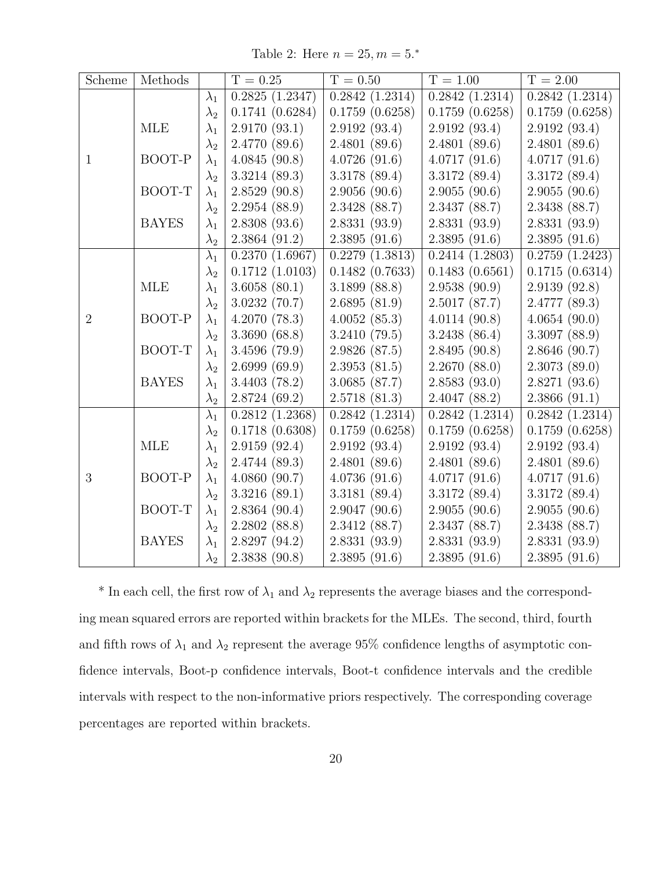Table 2: Here  $n = 25, m = 5.*$ 

| Scheme         | Methods      |             | $T = 0.25$                     | $T = 0.50$                   | $T = 1.00$                   | $T = 2.00$                   |
|----------------|--------------|-------------|--------------------------------|------------------------------|------------------------------|------------------------------|
|                |              | $\lambda_1$ | $\overline{0.2825}$ $(1.2347)$ | $\overline{0.2842}$ (1.2314) | $\overline{0.2842}$ (1.2314) | 0.2842(1.2314)               |
|                |              | $\lambda_2$ | 0.1741(0.6284)                 | 0.1759(0.6258)               | 0.1759(0.6258)               | 0.1759(0.6258)               |
|                | MLE          | $\lambda_1$ | 2.9170(93.1)                   | 2.9192(93.4)                 | 2.9192(93.4)                 | 2.9192(93.4)                 |
|                |              | $\lambda_2$ | 2.4770(89.6)                   | 2.4801(89.6)                 | 2.4801(89.6)                 | 2.4801(89.6)                 |
| $\mathbf{1}$   | BOOT-P       | $\lambda_1$ | 4.0845(90.8)                   | 4.0726(91.6)                 | 4.0717(91.6)                 | 4.0717(91.6)                 |
|                |              | $\lambda_2$ | 3.3214(89.3)                   | 3.3178 (89.4)                | 3.3172 (89.4)                | 3.3172 (89.4)                |
|                | BOOT-T       | $\lambda_1$ | 2.8529(90.8)                   | 2.9056(90.6)                 | 2.9055(90.6)                 | 2.9055(90.6)                 |
|                |              | $\lambda_2$ | 2.2954(88.9)                   | 2.3428(88.7)                 | 2.3437 (88.7)                | 2.3438 (88.7)                |
|                | <b>BAYES</b> | $\lambda_1$ | 2.8308(93.6)                   | 2.8331(93.9)                 | 2.8331(93.9)                 | 2.8331(93.9)                 |
|                |              | $\lambda_2$ | 2.3864(91.2)                   | 2.3895(91.6)                 | 2.3895(91.6)                 | 2.3895(91.6)                 |
|                |              | $\lambda_1$ | $\overline{0.2}370$ $(1.6967)$ | 0.2279(1.3813)               | 0.2414(1.2803)               | $\overline{0.2759}$ (1.2423) |
|                |              | $\lambda_2$ | 0.1712(1.0103)                 | 0.1482(0.7633)               | 0.1483(0.6561)               | 0.1715(0.6314)               |
|                | MLE          | $\lambda_1$ | 3.6058(80.1)                   | 3.1899(88.8)                 | 2.9538(90.9)                 | 2.9139(92.8)                 |
|                |              | $\lambda_2$ | 3.0232(70.7)                   | 2.6895(81.9)                 | 2.5017(87.7)                 | 2.4777(89.3)                 |
| $\overline{2}$ | BOOT-P       | $\lambda_1$ | 4.2070(78.3)                   | 4.0052(85.3)                 | 4.0114(90.8)                 | 4.0654(90.0)                 |
|                |              | $\lambda_2$ | 3.3690(68.8)                   | 3.2410(79.5)                 | 3.2438(86.4)                 | 3.3097(88.9)                 |
|                | BOOT-T       | $\lambda_1$ | 3.4596(79.9)                   | 2.9826 (87.5)                | 2.8495(90.8)                 | 2.8646(90.7)                 |
|                |              | $\lambda_2$ | 2.6999(69.9)                   | 2.3953(81.5)                 | 2.2670(88.0)                 | 2.3073(89.0)                 |
|                | <b>BAYES</b> | $\lambda_1$ | 3.4403(78.2)                   | 3.0685 (87.7)                | 2.8583(93.0)                 | 2.8271(93.6)                 |
|                |              | $\lambda_2$ | 2.8724(69.2)                   | 2.5718(81.3)                 | 2.4047(88.2)                 | 2.3866(91.1)                 |
|                |              | $\lambda_1$ | 0.2812(1.2368)                 | 0.2842(1.2314)               | 0.2842(1.2314)               | 0.2842(1.2314)               |
|                |              | $\lambda_2$ | 0.1718(0.6308)                 | 0.1759(0.6258)               | 0.1759(0.6258)               | 0.1759(0.6258)               |
|                | MLE          | $\lambda_1$ | 2.9159(92.4)                   | 2.9192(93.4)                 | 2.9192(93.4)                 | 2.9192(93.4)                 |
|                |              | $\lambda_2$ | 2.4744 (89.3)                  | 2.4801(89.6)                 | 2.4801(89.6)                 | 2.4801(89.6)                 |
| 3              | BOOT-P       | $\lambda_1$ | 4.0860(90.7)                   | 4.0736(91.6)                 | 4.0717(91.6)                 | 4.0717(91.6)                 |
|                |              | $\lambda_2$ | 3.3216(89.1)                   | 3.3181 (89.4)                | 3.3172(89.4)                 | 3.3172(89.4)                 |
|                | BOOT-T       | $\lambda_1$ | 2.8364(90.4)                   | 2.9047(90.6)                 | 2.9055(90.6)                 | 2.9055(90.6)                 |
|                |              | $\lambda_2$ | 2.2802(88.8)                   | 2.3412(88.7)                 | 2.3437(88.7)                 | 2.3438(88.7)                 |
|                | <b>BAYES</b> | $\lambda_1$ | 2.8297(94.2)                   | 2.8331 (93.9)                | 2.8331(93.9)                 | 2.8331(93.9)                 |
|                |              | $\lambda_2$ | 2.3838(90.8)                   | 2.3895(91.6)                 | 2.3895(91.6)                 | 2.3895(91.6)                 |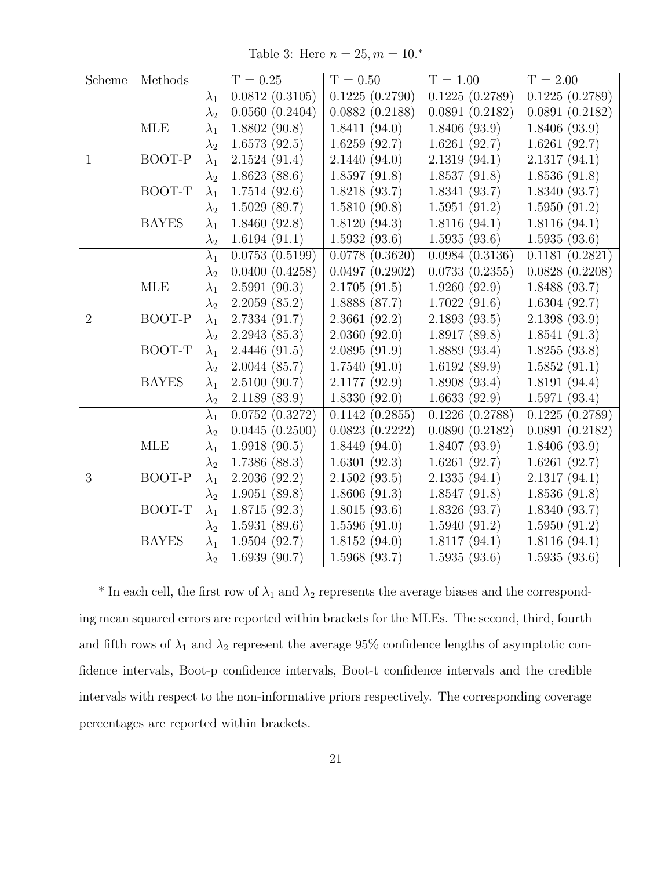Table 3: Here  $n = 25, m = 10.*$ 

| Scheme         | Methods      |             | $T = 0.25$     | $T = 0.50$     | $T = 1.00$                  | $T = 2.00$                   |
|----------------|--------------|-------------|----------------|----------------|-----------------------------|------------------------------|
|                |              | $\lambda_1$ | 0.0812(0.3105) | 0.1225(0.2790) | $\overline{0.1225(0.2789)}$ | $\overline{0.1225(0.2789)}$  |
|                |              | $\lambda_2$ | 0.0560(0.2404) | 0.0882(0.2188) | 0.0891(0.2182)              | 0.0891(0.2182)               |
|                | MLE          | $\lambda_1$ | 1.8802(90.8)   | 1.8411(94.0)   | 1.8406(93.9)                | 1.8406(93.9)                 |
|                |              | $\lambda_2$ | 1.6573(92.5)   | 1.6259(92.7)   | 1.6261(92.7)                | 1.6261(92.7)                 |
| $\mathbf{1}$   | BOOT-P       | $\lambda_1$ | 2.1524(91.4)   | 2.1440(94.0)   | 2.1319(94.1)                | 2.1317(94.1)                 |
|                |              | $\lambda_2$ | 1.8623(88.6)   | 1.8597(91.8)   | 1.8537(91.8)                | 1.8536(91.8)                 |
|                | BOOT-T       | $\lambda_1$ | 1.7514(92.6)   | 1.8218(93.7)   | 1.8341(93.7)                | 1.8340(93.7)                 |
|                |              | $\lambda_2$ | 1.5029(89.7)   | 1.5810(90.8)   | 1.5951(91.2)                | 1.5950(91.2)                 |
|                | <b>BAYES</b> | $\lambda_1$ | 1.8460(92.8)   | 1.8120(94.3)   | 1.8116(94.1)                | 1.8116(94.1)                 |
|                |              | $\lambda_2$ | 1.6194(91.1)   | 1.5932(93.6)   | 1.5935(93.6)                | 1.5935(93.6)                 |
|                |              | $\lambda_1$ | 0.0753(0.5199) | 0.0778(0.3620) | 0.0984~(0.3136)             | $\overline{0.1181}$ (0.2821) |
|                |              | $\lambda_2$ | 0.0400(0.4258) | 0.0497(0.2902) | 0.0733(0.2355)              | 0.0828(0.2208)               |
|                | <b>MLE</b>   | $\lambda_1$ | 2.5991(90.3)   | 2.1705(91.5)   | 1.9260(92.9)                | 1.8488 (93.7)                |
|                |              | $\lambda_2$ | 2.2059(85.2)   | 1.8888 (87.7)  | 1.7022(91.6)                | 1.6304(92.7)                 |
| $\overline{2}$ | BOOT-P       | $\lambda_1$ | 2.7334(91.7)   | 2.3661(92.2)   | 2.1893(93.5)                | 2.1398(93.9)                 |
|                |              | $\lambda_2$ | 2.2943(85.3)   | 2.0360(92.0)   | 1.8917(89.8)                | 1.8541(91.3)                 |
|                | BOOT-T       | $\lambda_1$ | 2.4446(91.5)   | 2.0895(91.9)   | 1.8889(93.4)                | 1.8255(93.8)                 |
|                |              | $\lambda_2$ | 2.0044(85.7)   | 1.7540(91.0)   | 1.6192(89.9)                | 1.5852(91.1)                 |
|                | <b>BAYES</b> | $\lambda_1$ | 2.5100(90.7)   | 2.1177 (92.9)  | 1.8908(93.4)                | 1.8191(94.4)                 |
|                |              | $\lambda_2$ | 2.1189(83.9)   | 1.8330(92.0)   | 1.6633(92.9)                | 1.5971(93.4)                 |
|                |              | $\lambda_1$ | 0.0752(0.3272) | 0.1142(0.2855) | 0.1226(0.2788)              | 0.1225(0.2789)               |
|                |              | $\lambda_2$ | 0.0445(0.2500) | 0.0823(0.2222) | 0.0890(0.2182)              | 0.0891(0.2182)               |
|                | <b>MLE</b>   | $\lambda_1$ | 1.9918(90.5)   | 1.8449(94.0)   | 1.8407(93.9)                | 1.8406(93.9)                 |
|                |              | $\lambda_2$ | 1.7386(88.3)   | 1.6301(92.3)   | 1.6261(92.7)                | 1.6261(92.7)                 |
| 3              | BOOT-P       | $\lambda_1$ | 2.2036(92.2)   | 2.1502(93.5)   | 2.1335(94.1)                | 2.1317(94.1)                 |
|                |              | $\lambda_2$ | 1.9051(89.8)   | 1.8606(91.3)   | 1.8547(91.8)                | 1.8536(91.8)                 |
|                | BOOT-T       | $\lambda_1$ | 1.8715(92.3)   | 1.8015(93.6)   | 1.8326(93.7)                | 1.8340(93.7)                 |
|                |              | $\lambda_2$ | 1.5931(89.6)   | 1.5596(91.0)   | 1.5940(91.2)                | 1.5950(91.2)                 |
|                | <b>BAYES</b> | $\lambda_1$ | 1.9504(92.7)   | 1.8152(94.0)   | 1.8117(94.1)                | 1.8116(94.1)                 |
|                |              | $\lambda_2$ | 1.6939(90.7)   | 1.5968(93.7)   | 1.5935(93.6)                | 1.5935(93.6)                 |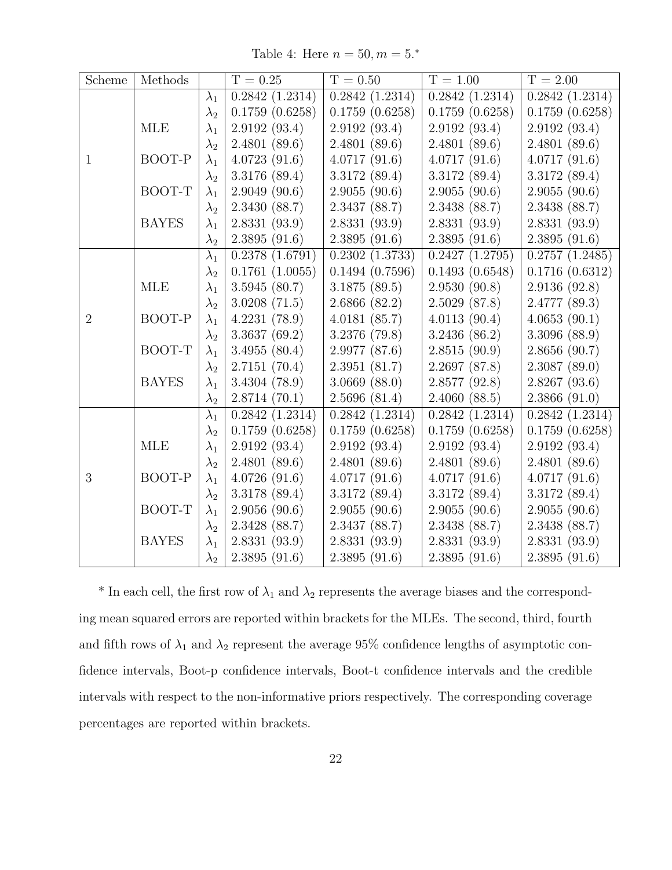Table 4: Here  $n = 50, m = 5.*$ 

| Scheme         | Methods      |             | $T = 0.25$     | $T = 0.50$     | $T = 1.00$                   | $T = 2.00$                   |
|----------------|--------------|-------------|----------------|----------------|------------------------------|------------------------------|
|                |              | $\lambda_1$ | 0.2842(1.2314) | 0.2842(1.2314) | $\overline{0.2842}$ (1.2314) | $\overline{0.2842}$ (1.2314) |
|                |              | $\lambda_2$ | 0.1759(0.6258) | 0.1759(0.6258) | 0.1759(0.6258)               | 0.1759(0.6258)               |
|                | MLE          | $\lambda_1$ | 2.9192(93.4)   | 2.9192(93.4)   | 2.9192(93.4)                 | 2.9192(93.4)                 |
|                |              | $\lambda_2$ | 2.4801(89.6)   | 2.4801(89.6)   | 2.4801(89.6)                 | 2.4801(89.6)                 |
| $\mathbf{1}$   | BOOT-P       | $\lambda_1$ | 4.0723(91.6)   | 4.0717(91.6)   | 4.0717(91.6)                 | 4.0717(91.6)                 |
|                |              | $\lambda_2$ | 3.3176 (89.4)  | 3.3172(89.4)   | 3.3172(89.4)                 | 3.3172(89.4)                 |
|                | BOOT-T       | $\lambda_1$ | 2.9049(90.6)   | 2.9055(90.6)   | 2.9055(90.6)                 | 2.9055(90.6)                 |
|                |              | $\lambda_2$ | 2.3430 (88.7)  | 2.3437 (88.7)  | 2.3438 (88.7)                | 2.3438 (88.7)                |
|                | <b>BAYES</b> | $\lambda_1$ | 2.8331(93.9)   | 2.8331(93.9)   | 2.8331(93.9)                 | 2.8331(93.9)                 |
|                |              | $\lambda_2$ | 2.3895(91.6)   | 2.3895(91.6)   | 2.3895(91.6)                 | 2.3895(91.6)                 |
|                |              | $\lambda_1$ | 0.2378(1.6791) | 0.2302(1.3733) | 0.2427(1.2795)               | 0.2757(1.2485)               |
|                |              | $\lambda_2$ | 0.1761(1.0055) | 0.1494(0.7596) | 0.1493(0.6548)               | 0.1716(0.6312)               |
|                | <b>MLE</b>   | $\lambda_1$ | 3.5945(80.7)   | 3.1875(89.5)   | 2.9530(90.8)                 | 2.9136(92.8)                 |
|                |              | $\lambda_2$ | 3.0208(71.5)   | 2.6866(82.2)   | 2.5029(87.8)                 | 2.4777(89.3)                 |
| $\overline{2}$ | BOOT-P       | $\lambda_1$ | 4.2231(78.9)   | 4.0181(85.7)   | 4.0113(90.4)                 | 4.0653(90.1)                 |
|                |              | $\lambda_2$ | 3.3637(69.2)   | 3.2376 (79.8)  | 3.2436(86.2)                 | 3.3096(88.9)                 |
|                | BOOT-T       | $\lambda_1$ | 3.4955(80.4)   | 2.9977(87.6)   | 2.8515(90.9)                 | 2.8656(90.7)                 |
|                |              | $\lambda_2$ | 2.7151(70.4)   | 2.3951(81.7)   | 2.2697(87.8)                 | 2.3087(89.0)                 |
|                | <b>BAYES</b> | $\lambda_1$ | 3.4304(78.9)   | 3.0669(88.0)   | 2.8577(92.8)                 | 2.8267(93.6)                 |
|                |              | $\lambda_2$ | 2.8714(70.1)   | 2.5696(81.4)   | 2.4060(88.5)                 | 2.3866(91.0)                 |
|                |              | $\lambda_1$ | 0.2842(1.2314) | 0.2842(1.2314) | 0.2842(1.2314)               | 0.2842(1.2314)               |
|                |              | $\lambda_2$ | 0.1759(0.6258) | 0.1759(0.6258) | 0.1759(0.6258)               | 0.1759(0.6258)               |
|                | <b>MLE</b>   | $\lambda_1$ | 2.9192(93.4)   | 2.9192(93.4)   | 2.9192(93.4)                 | 2.9192(93.4)                 |
|                |              | $\lambda_2$ | 2.4801(89.6)   | 2.4801(89.6)   | 2.4801(89.6)                 | 2.4801(89.6)                 |
| 3              | BOOT-P       | $\lambda_1$ | 4.0726(91.6)   | 4.0717(91.6)   | 4.0717(91.6)                 | 4.0717(91.6)                 |
|                |              | $\lambda_2$ | 3.3178 (89.4)  | 3.3172(89.4)   | 3.3172 (89.4)                | 3.3172(89.4)                 |
|                | BOOT-T       | $\lambda_1$ | 2.9056(90.6)   | 2.9055(90.6)   | 2.9055(90.6)                 | 2.9055(90.6)                 |
|                |              | $\lambda_2$ | 2.3428(88.7)   | 2.3437 (88.7)  | 2.3438 (88.7)                | 2.3438 (88.7)                |
|                | <b>BAYES</b> | $\lambda_1$ | 2.8331(93.9)   | 2.8331(93.9)   | 2.8331(93.9)                 | 2.8331(93.9)                 |
|                |              | $\lambda_2$ | 2.3895(91.6)   | 2.3895(91.6)   | 2.3895(91.6)                 | 2.3895(91.6)                 |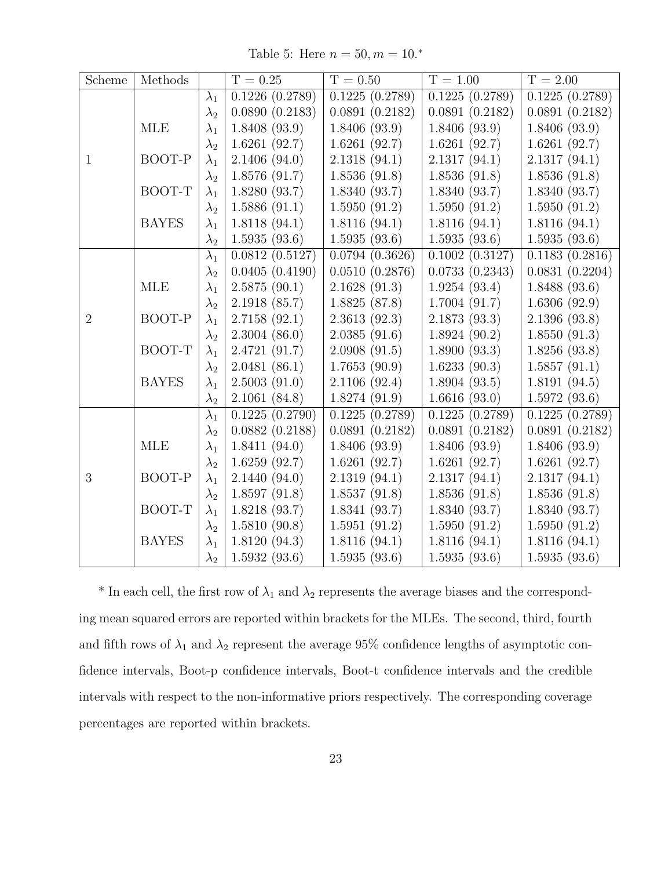Table 5: Here  $n = 50, m = 10.*$ 

| Scheme         | Methods      |             | $T = 0.25$     | $T = 0.50$     | $T = 1.00$                   | $T = 2.00$     |
|----------------|--------------|-------------|----------------|----------------|------------------------------|----------------|
|                |              | $\lambda_1$ | 0.1226(0.2789) | 0.1225(0.2789) | $\overline{0.1225 (0.2789)}$ | 0.1225(0.2789) |
|                |              | $\lambda_2$ | 0.0890(0.2183) | 0.0891(0.2182) | 0.0891(0.2182)               | 0.0891(0.2182) |
|                | <b>MLE</b>   | $\lambda_1$ | 1.8408(93.9)   | 1.8406(93.9)   | 1.8406(93.9)                 | 1.8406(93.9)   |
|                |              | $\lambda_2$ | 1.6261(92.7)   | 1.6261(92.7)   | 1.6261(92.7)                 | 1.6261(92.7)   |
| $\mathbf{1}$   | BOOT-P       | $\lambda_1$ | 2.1406(94.0)   | 2.1318(94.1)   | 2.1317(94.1)                 | 2.1317(94.1)   |
|                |              | $\lambda_2$ | 1.8576(91.7)   | 1.8536(91.8)   | 1.8536(91.8)                 | 1.8536(91.8)   |
|                | BOOT-T       | $\lambda_1$ | 1.8280(93.7)   | 1.8340(93.7)   | 1.8340(93.7)                 | 1.8340(93.7)   |
|                |              | $\lambda_2$ | 1.5886(91.1)   | 1.5950(91.2)   | 1.5950(91.2)                 | 1.5950(91.2)   |
|                | <b>BAYES</b> | $\lambda_1$ | 1.8118(94.1)   | 1.8116(94.1)   | 1.8116(94.1)                 | 1.8116(94.1)   |
|                |              | $\lambda_2$ | 1.5935(93.6)   | 1.5935(93.6)   | 1.5935(93.6)                 | 1.5935(93.6)   |
|                |              | $\lambda_1$ | 0.0812(0.5127) | 0.0794(0.3626) | 0.1002(0.3127)               | 0.1183(0.2816) |
|                |              | $\lambda_2$ | 0.0405(0.4190) | 0.0510(0.2876) | 0.0733(0.2343)               | 0.0831(0.2204) |
|                | <b>MLE</b>   | $\lambda_1$ | 2.5875(90.1)   | 2.1628(91.3)   | 1.9254(93.4)                 | 1.8488(93.6)   |
|                |              | $\lambda_2$ | 2.1918(85.7)   | 1.8825(87.8)   | 1.7004(91.7)                 | 1.6306(92.9)   |
| $\overline{2}$ | BOOT-P       | $\lambda_1$ | 2.7158(92.1)   | 2.3613(92.3)   | 2.1873(93.3)                 | 2.1396(93.8)   |
|                |              | $\lambda_2$ | 2.3004(86.0)   | 2.0385(91.6)   | 1.8924(90.2)                 | 1.8550(91.3)   |
|                | BOOT-T       | $\lambda_1$ | 2.4721(91.7)   | 2.0908(91.5)   | 1.8900(93.3)                 | 1.8256(93.8)   |
|                |              | $\lambda_2$ | 2.0481(86.1)   | 1.7653(90.9)   | 1.6233(90.3)                 | 1.5857(91.1)   |
|                | <b>BAYES</b> | $\lambda_1$ | 2.5003(91.0)   | 2.1106(92.4)   | 1.8904(93.5)                 | 1.8191(94.5)   |
|                |              | $\lambda_2$ | 2.1061(84.8)   | 1.8274(91.9)   | 1.6616(93.0)                 | 1.5972(93.6)   |
|                |              | $\lambda_1$ | 0.1225(0.2790) | 0.1225(0.2789) | 0.1225(0.2789)               | 0.1225(0.2789) |
|                |              | $\lambda_2$ | 0.0882(0.2188) | 0.0891(0.2182) | 0.0891(0.2182)               | 0.0891(0.2182) |
|                | MLE          | $\lambda_1$ | 1.8411(94.0)   | 1.8406(93.9)   | 1.8406(93.9)                 | 1.8406(93.9)   |
|                |              | $\lambda_2$ | 1.6259(92.7)   | 1.6261(92.7)   | 1.6261(92.7)                 | 1.6261(92.7)   |
| 3              | BOOT-P       | $\lambda_1$ | 2.1440(94.0)   | 2.1319(94.1)   | 2.1317(94.1)                 | 2.1317(94.1)   |
|                |              | $\lambda_2$ | 1.8597(91.8)   | 1.8537(91.8)   | 1.8536(91.8)                 | 1.8536(91.8)   |
|                | BOOT-T       | $\lambda_1$ | 1.8218(93.7)   | 1.8341(93.7)   | 1.8340(93.7)                 | 1.8340(93.7)   |
|                |              | $\lambda_2$ | 1.5810(90.8)   | 1.5951(91.2)   | 1.5950(91.2)                 | 1.5950(91.2)   |
|                | <b>BAYES</b> | $\lambda_1$ | 1.8120(94.3)   | 1.8116(94.1)   | 1.8116(94.1)                 | 1.8116(94.1)   |
|                |              | $\lambda_2$ | 1.5932(93.6)   | 1.5935(93.6)   | 1.5935(93.6)                 | 1.5935(93.6)   |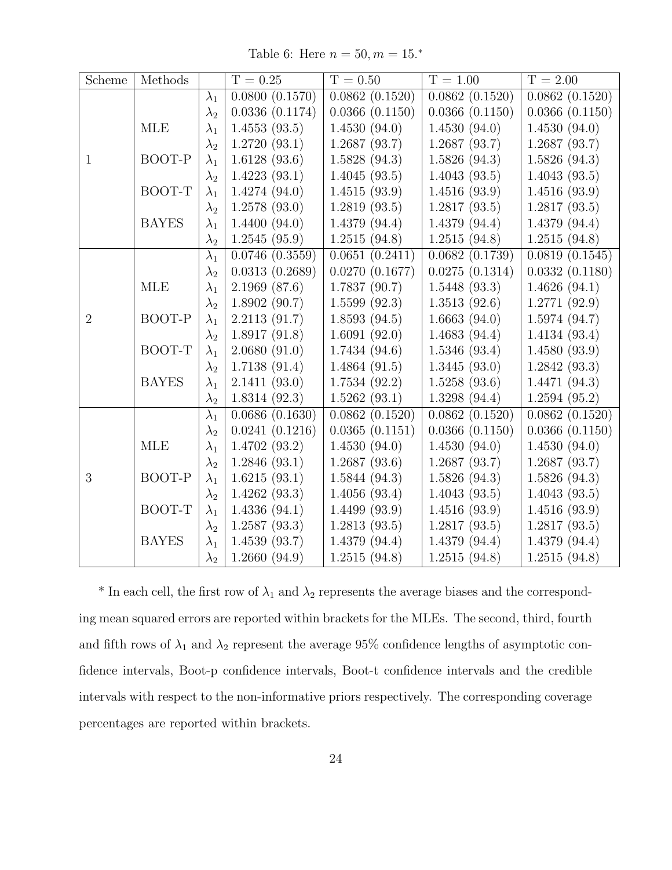Table 6: Here  $n = 50, m = 15.*$ 

| Scheme         | Methods      |             | $T = 0.25$     | $T = 0.50$     | $T = 1.00$     | $T = 2.00$     |
|----------------|--------------|-------------|----------------|----------------|----------------|----------------|
|                |              | $\lambda_1$ | 0.0800(0.1570) | 0.0862(0.1520) | 0.0862(0.1520) | 0.0862(0.1520) |
|                |              | $\lambda_2$ | 0.0336(0.1174) | 0.0366(0.1150) | 0.0366(0.1150) | 0.0366(0.1150) |
|                | <b>MLE</b>   | $\lambda_1$ | 1.4553(93.5)   | 1.4530(94.0)   | 1.4530(94.0)   | 1.4530(94.0)   |
|                |              | $\lambda_2$ | 1.2720(93.1)   | 1.2687(93.7)   | 1.2687(93.7)   | 1.2687(93.7)   |
| $\mathbf{1}$   | BOOT-P       | $\lambda_1$ | 1.6128(93.6)   | 1.5828(94.3)   | 1.5826(94.3)   | 1.5826(94.3)   |
|                |              | $\lambda_2$ | 1.4223(93.1)   | 1.4045(93.5)   | 1.4043(93.5)   | 1.4043(93.5)   |
|                | BOOT-T       | $\lambda_1$ | 1.4274(94.0)   | 1.4515(93.9)   | 1.4516(93.9)   | 1.4516(93.9)   |
|                |              | $\lambda_2$ | 1.2578(93.0)   | 1.2819(93.5)   | 1.2817(93.5)   | 1.2817(93.5)   |
|                | <b>BAYES</b> | $\lambda_1$ | 1.4400(94.0)   | 1.4379(94.4)   | 1.4379(94.4)   | 1.4379(94.4)   |
|                |              | $\lambda_2$ | 1.2545(95.9)   | 1.2515(94.8)   | 1.2515(94.8)   | 1.2515(94.8)   |
|                |              | $\lambda_1$ | 0.0746(0.3559) | 0.0651(0.2411) | 0.0682(0.1739) | 0.0819(0.1545) |
|                |              | $\lambda_2$ | 0.0313(0.2689) | 0.0270(0.1677) | 0.0275(0.1314) | 0.0332(0.1180) |
|                | MLE          | $\lambda_1$ | 2.1969(87.6)   | 1.7837(90.7)   | 1.5448(93.3)   | 1.4626(94.1)   |
|                |              | $\lambda_2$ | 1.8902(90.7)   | 1.5599(92.3)   | 1.3513(92.6)   | 1.2771(92.9)   |
| $\overline{2}$ | BOOT-P       | $\lambda_1$ | 2.2113(91.7)   | 1.8593(94.5)   | 1.6663(94.0)   | 1.5974(94.7)   |
|                |              | $\lambda_2$ | 1.8917(91.8)   | 1.6091(92.0)   | 1.4683(94.4)   | 1.4134(93.4)   |
|                | BOOT-T       | $\lambda_1$ | 2.0680(91.0)   | 1.7434(94.6)   | 1.5346(93.4)   | 1.4580(93.9)   |
|                |              | $\lambda_2$ | 1.7138(91.4)   | 1.4864(91.5)   | 1.3445(93.0)   | 1.2842(93.3)   |
|                | <b>BAYES</b> | $\lambda_1$ | 2.1411(93.0)   | 1.7534(92.2)   | 1.5258(93.6)   | 1.4471(94.3)   |
|                |              | $\lambda_2$ | 1.8314(92.3)   | 1.5262(93.1)   | 1.3298(94.4)   | 1.2594(95.2)   |
|                |              | $\lambda_1$ | 0.0686(0.1630) | 0.0862(0.1520) | 0.0862(0.1520) | 0.0862(0.1520) |
|                |              | $\lambda_2$ | 0.0241(0.1216) | 0.0365(0.1151) | 0.0366(0.1150) | 0.0366(0.1150) |
|                | <b>MLE</b>   | $\lambda_1$ | 1.4702(93.2)   | 1.4530(94.0)   | 1.4530(94.0)   | 1.4530(94.0)   |
|                |              | $\lambda_2$ | 1.2846(93.1)   | 1.2687(93.6)   | 1.2687(93.7)   | 1.2687(93.7)   |
| 3              | BOOT-P       | $\lambda_1$ | 1.6215(93.1)   | 1.5844(94.3)   | 1.5826(94.3)   | 1.5826(94.3)   |
|                |              | $\lambda_2$ | 1.4262(93.3)   | 1.4056(93.4)   | 1.4043(93.5)   | 1.4043(93.5)   |
|                | BOOT-T       | $\lambda_1$ | 1.4336(94.1)   | 1.4499(93.9)   | 1.4516(93.9)   | 1.4516(93.9)   |
|                |              | $\lambda_2$ | 1.2587(93.3)   | 1.2813(93.5)   | 1.2817(93.5)   | 1.2817(93.5)   |
|                | <b>BAYES</b> | $\lambda_1$ | 1.4539(93.7)   | 1.4379(94.4)   | 1.4379(94.4)   | 1.4379(94.4)   |
|                |              | $\lambda_2$ | 1.2660(94.9)   | 1.2515(94.8)   | 1.2515(94.8)   | 1.2515(94.8)   |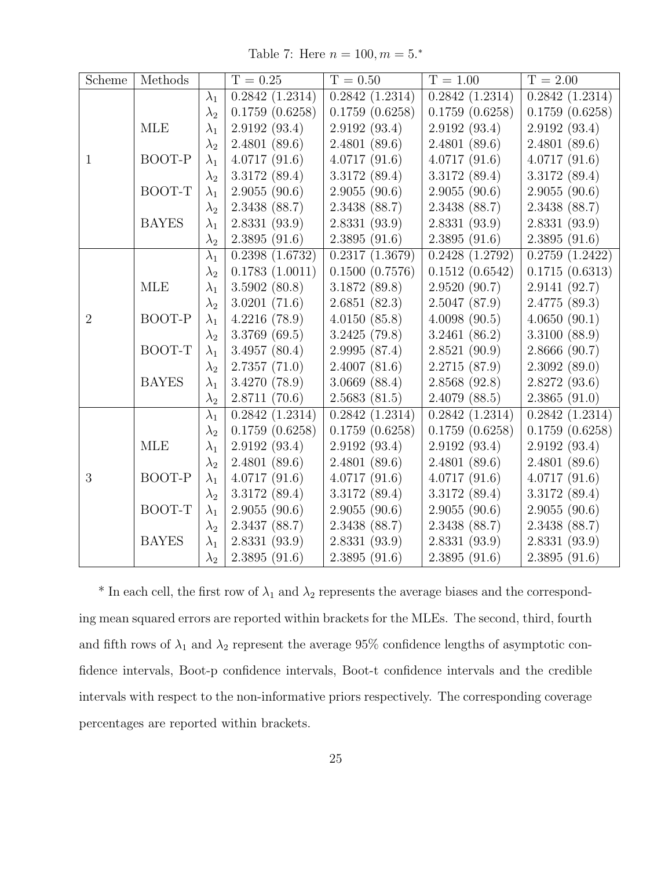Table 7: Here  $n = 100, m = 5.*$ 

| Scheme         | Methods      |             | $T = 0.25$     | $T = 0.50$     | $T = 1.00$     | $T = 2.00$                   |
|----------------|--------------|-------------|----------------|----------------|----------------|------------------------------|
|                |              | $\lambda_1$ | 0.2842(1.2314) | 0.2842(1.2314) | 0.2842(1.2314) | $\overline{0.2842}$ (1.2314) |
|                |              | $\lambda_2$ | 0.1759(0.6258) | 0.1759(0.6258) | 0.1759(0.6258) | 0.1759(0.6258)               |
|                | MLE          | $\lambda_1$ | 2.9192(93.4)   | 2.9192(93.4)   | 2.9192(93.4)   | 2.9192(93.4)                 |
|                |              | $\lambda_2$ | 2.4801(89.6)   | 2.4801(89.6)   | 2.4801(89.6)   | 2.4801(89.6)                 |
| $\mathbf{1}$   | BOOT-P       | $\lambda_1$ | 4.0717(91.6)   | 4.0717(91.6)   | 4.0717(91.6)   | 4.0717(91.6)                 |
|                |              | $\lambda_2$ | 3.3172(89.4)   | 3.3172(89.4)   | 3.3172(89.4)   | 3.3172 (89.4)                |
|                | BOOT-T       | $\lambda_1$ | 2.9055(90.6)   | 2.9055(90.6)   | 2.9055(90.6)   | 2.9055(90.6)                 |
|                |              | $\lambda_2$ | 2.3438 (88.7)  | 2.3438 (88.7)  | 2.3438 (88.7)  | 2.3438 (88.7)                |
|                | <b>BAYES</b> | $\lambda_1$ | 2.8331(93.9)   | 2.8331(93.9)   | 2.8331(93.9)   | 2.8331(93.9)                 |
|                |              | $\lambda_2$ | 2.3895(91.6)   | 2.3895(91.6)   | 2.3895(91.6)   | 2.3895(91.6)                 |
|                |              | $\lambda_1$ | 0.2398(1.6732) | 0.2317(1.3679) | 0.2428(1.2792) | 0.2759(1.2422)               |
|                |              | $\lambda_2$ | 0.1783(1.0011) | 0.1500(0.7576) | 0.1512(0.6542) | 0.1715(0.6313)               |
|                | MLE          | $\lambda_1$ | 3.5902(80.8)   | 3.1872(89.8)   | 2.9520(90.7)   | 2.9141(92.7)                 |
|                |              | $\lambda_2$ | 3.0201(71.6)   | 2.6851(82.3)   | 2.5047(87.9)   | 2.4775(89.3)                 |
| $\overline{2}$ | BOOT-P       | $\lambda_1$ | 4.2216(78.9)   | 4.0150(85.8)   | 4.0098(90.5)   | 4.0650(90.1)                 |
|                |              | $\lambda_2$ | 3.3769(69.5)   | 3.2425(79.8)   | 3.2461(86.2)   | 3.3100(88.9)                 |
|                | BOOT-T       | $\lambda_1$ | 3.4957(80.4)   | 2.9995(87.4)   | 2.8521(90.9)   | 2.8666(90.7)                 |
|                |              | $\lambda_2$ | 2.7357(71.0)   | 2.4007(81.6)   | 2.2715(87.9)   | 2.3092(89.0)                 |
|                | <b>BAYES</b> | $\lambda_1$ | 3.4270(78.9)   | 3.0669(88.4)   | 2.8568(92.8)   | 2.8272(93.6)                 |
|                |              | $\lambda_2$ | 2.8711(70.6)   | 2.5683(81.5)   | 2.4079(88.5)   | 2.3865(91.0)                 |
|                |              | $\lambda_1$ | 0.2842(1.2314) | 0.2842(1.2314) | 0.2842(1.2314) | 0.2842(1.2314)               |
|                |              | $\lambda_2$ | 0.1759(0.6258) | 0.1759(0.6258) | 0.1759(0.6258) | 0.1759(0.6258)               |
|                | <b>MLE</b>   | $\lambda_1$ | 2.9192(93.4)   | 2.9192(93.4)   | 2.9192(93.4)   | 2.9192(93.4)                 |
|                |              | $\lambda_2$ | 2.4801(89.6)   | 2.4801(89.6)   | 2.4801(89.6)   | 2.4801(89.6)                 |
| 3              | BOOT-P       | $\lambda_1$ | 4.0717(91.6)   | 4.0717(91.6)   | 4.0717(91.6)   | 4.0717(91.6)                 |
|                |              | $\lambda_2$ | 3.3172(89.4)   | 3.3172(89.4)   | 3.3172(89.4)   | 3.3172(89.4)                 |
|                | BOOT-T       | $\lambda_1$ | 2.9055(90.6)   | 2.9055(90.6)   | 2.9055(90.6)   | 2.9055(90.6)                 |
|                |              | $\lambda_2$ | 2.3437(88.7)   | 2.3438 (88.7)  | 2.3438 (88.7)  | 2.3438(88.7)                 |
|                | <b>BAYES</b> | $\lambda_1$ | 2.8331(93.9)   | 2.8331(93.9)   | 2.8331(93.9)   | 2.8331(93.9)                 |
|                |              | $\lambda_2$ | 2.3895(91.6)   | 2.3895(91.6)   | 2.3895(91.6)   | 2.3895(91.6)                 |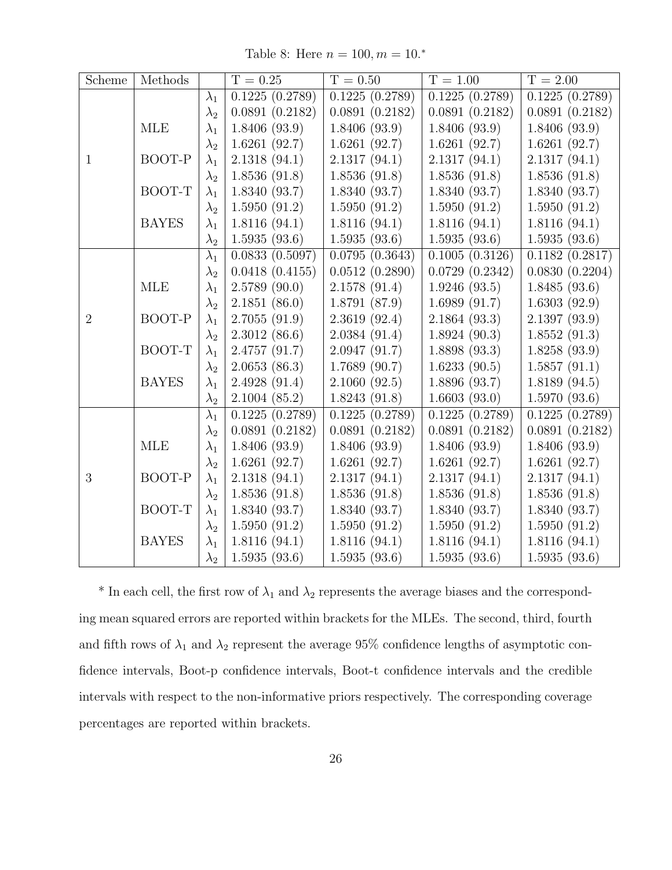Table 8: Here  $n = 100, m = 10.*$ 

| Scheme         | Methods      |             | $T = 0.25$     | $T = 0.50$     | $T = 1.00$     | $T = 2.00$     |
|----------------|--------------|-------------|----------------|----------------|----------------|----------------|
|                |              | $\lambda_1$ | 0.1225(0.2789) | 0.1225(0.2789) | 0.1225(0.2789) | 0.1225(0.2789) |
|                |              | $\lambda_2$ | 0.0891(0.2182) | 0.0891(0.2182) | 0.0891(0.2182) | 0.0891(0.2182) |
|                | <b>MLE</b>   | $\lambda_1$ | 1.8406(93.9)   | 1.8406(93.9)   | 1.8406(93.9)   | 1.8406(93.9)   |
|                |              | $\lambda_2$ | 1.6261(92.7)   | 1.6261(92.7)   | 1.6261(92.7)   | 1.6261(92.7)   |
| $\mathbf{1}$   | BOOT-P       | $\lambda_1$ | 2.1318(94.1)   | 2.1317(94.1)   | 2.1317(94.1)   | 2.1317(94.1)   |
|                |              | $\lambda_2$ | 1.8536(91.8)   | 1.8536(91.8)   | 1.8536(91.8)   | 1.8536(91.8)   |
|                | BOOT-T       | $\lambda_1$ | 1.8340(93.7)   | 1.8340(93.7)   | 1.8340(93.7)   | 1.8340(93.7)   |
|                |              | $\lambda_2$ | 1.5950(91.2)   | 1.5950(91.2)   | 1.5950(91.2)   | 1.5950(91.2)   |
|                | <b>BAYES</b> | $\lambda_1$ | 1.8116(94.1)   | 1.8116(94.1)   | 1.8116(94.1)   | 1.8116(94.1)   |
|                |              | $\lambda_2$ | 1.5935(93.6)   | 1.5935(93.6)   | 1.5935(93.6)   | 1.5935(93.6)   |
|                |              | $\lambda_1$ | 0.0833(0.5097) | 0.0795(0.3643) | 0.1005(0.3126) | 0.1182(0.2817) |
|                |              | $\lambda_2$ | 0.0418(0.4155) | 0.0512(0.2890) | 0.0729(0.2342) | 0.0830(0.2204) |
|                | <b>MLE</b>   | $\lambda_1$ | 2.5789(90.0)   | 2.1578(91.4)   | 1.9246(93.5)   | 1.8485(93.6)   |
|                |              | $\lambda_2$ | 2.1851(86.0)   | 1.8791(87.9)   | 1.6989(91.7)   | 1.6303(92.9)   |
| $\overline{2}$ | BOOT-P       | $\lambda_1$ | 2.7055(91.9)   | 2.3619(92.4)   | 2.1864(93.3)   | 2.1397(93.9)   |
|                |              | $\lambda_2$ | 2.3012(86.6)   | 2.0384(91.4)   | 1.8924(90.3)   | 1.8552(91.3)   |
|                | BOOT-T       | $\lambda_1$ | 2.4757(91.7)   | 2.0947(91.7)   | 1.8898(93.3)   | 1.8258(93.9)   |
|                |              | $\lambda_2$ | 2.0653(86.3)   | 1.7689(90.7)   | 1.6233(90.5)   | 1.5857(91.1)   |
|                | <b>BAYES</b> | $\lambda_1$ | 2.4928(91.4)   | 2.1060(92.5)   | 1.8896(93.7)   | 1.8189(94.5)   |
|                |              | $\lambda_2$ | 2.1004(85.2)   | 1.8243(91.8)   | 1.6603(93.0)   | 1.5970(93.6)   |
|                |              | $\lambda_1$ | 0.1225(0.2789) | 0.1225(0.2789) | 0.1225(0.2789) | 0.1225(0.2789) |
|                |              | $\lambda_2$ | 0.0891(0.2182) | 0.0891(0.2182) | 0.0891(0.2182) | 0.0891(0.2182) |
|                | MLE          | $\lambda_1$ | 1.8406(93.9)   | 1.8406(93.9)   | 1.8406(93.9)   | 1.8406(93.9)   |
|                |              | $\lambda_2$ | 1.6261(92.7)   | 1.6261(92.7)   | 1.6261(92.7)   | 1.6261(92.7)   |
| 3              | BOOT-P       | $\lambda_1$ | 2.1318(94.1)   | 2.1317(94.1)   | 2.1317(94.1)   | 2.1317(94.1)   |
|                |              | $\lambda_2$ | 1.8536(91.8)   | 1.8536(91.8)   | 1.8536(91.8)   | 1.8536(91.8)   |
|                | BOOT-T       | $\lambda_1$ | 1.8340(93.7)   | 1.8340(93.7)   | 1.8340(93.7)   | 1.8340(93.7)   |
|                |              | $\lambda_2$ | 1.5950(91.2)   | 1.5950(91.2)   | 1.5950(91.2)   | 1.5950(91.2)   |
|                | <b>BAYES</b> | $\lambda_1$ | 1.8116(94.1)   | 1.8116(94.1)   | 1.8116(94.1)   | 1.8116(94.1)   |
|                |              | $\lambda_2$ | 1.5935(93.6)   | 1.5935(93.6)   | 1.5935(93.6)   | 1.5935(93.6)   |